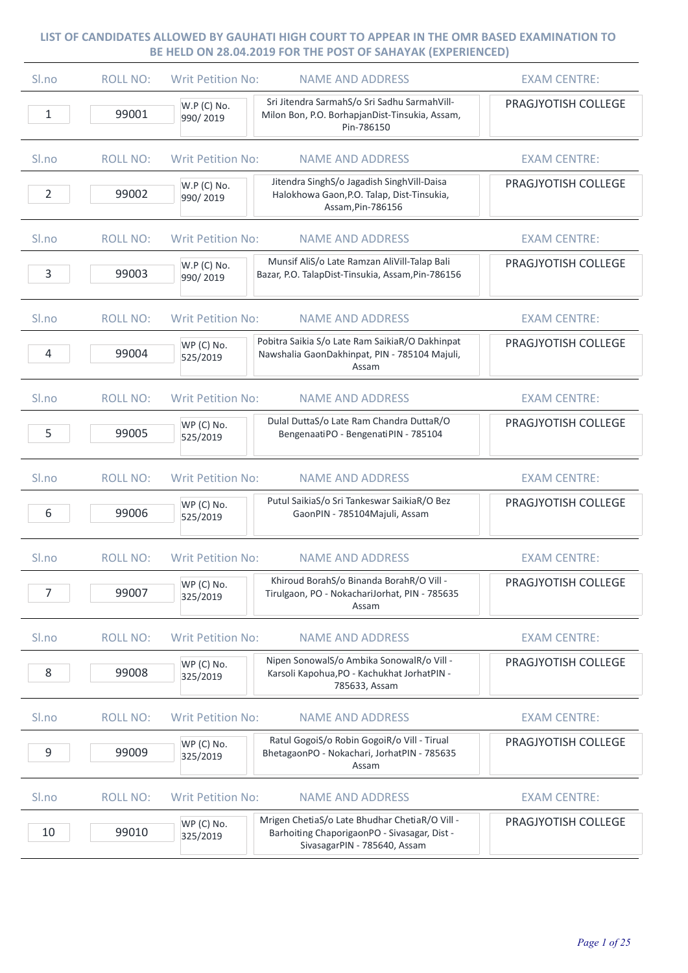| S <sub>lno</sub> | <b>ROLL NO:</b> | <b>Writ Petition No:</b><br><b>NAME AND ADDRESS</b>                                                                                                      | <b>EXAM CENTRE:</b> |
|------------------|-----------------|----------------------------------------------------------------------------------------------------------------------------------------------------------|---------------------|
| 1                | 99001           | Sri Jitendra SarmahS/o Sri Sadhu SarmahVill-<br>W.P (C) No.<br>Milon Bon, P.O. BorhapjanDist-Tinsukia, Assam,<br>990/2019<br>Pin-786150                  | PRAGJYOTISH COLLEGE |
| Sl.no            | <b>ROLL NO:</b> | <b>Writ Petition No:</b><br><b>NAME AND ADDRESS</b>                                                                                                      | <b>EXAM CENTRE:</b> |
| $\overline{2}$   | 99002           | Jitendra SinghS/o Jagadish SinghVill-Daisa<br>W.P (C) No.<br>Halokhowa Gaon, P.O. Talap, Dist-Tinsukia,<br>990/2019<br>Assam, Pin-786156                 | PRAGJYOTISH COLLEGE |
| S <sub>ln0</sub> | <b>ROLL NO:</b> | <b>Writ Petition No:</b><br><b>NAME AND ADDRESS</b>                                                                                                      | <b>EXAM CENTRE:</b> |
| 3                | 99003           | Munsif AliS/o Late Ramzan AliVill-Talap Bali<br>W.P (C) No.<br>Bazar, P.O. TalapDist-Tinsukia, Assam, Pin-786156<br>990/2019                             | PRAGJYOTISH COLLEGE |
| S <sub>lno</sub> | <b>ROLL NO:</b> | <b>Writ Petition No:</b><br><b>NAME AND ADDRESS</b>                                                                                                      | <b>EXAM CENTRE:</b> |
| 4                | 99004           | Pobitra Saikia S/o Late Ram SaikiaR/O Dakhinpat<br>WP (C) No.<br>Nawshalia GaonDakhinpat, PIN - 785104 Majuli,<br>525/2019<br>Assam                      | PRAGJYOTISH COLLEGE |
| S <sub>ln0</sub> | <b>ROLL NO:</b> | <b>Writ Petition No:</b><br><b>NAME AND ADDRESS</b>                                                                                                      | <b>EXAM CENTRE:</b> |
| 5                | 99005           | Dulal DuttaS/o Late Ram Chandra DuttaR/O<br>WP (C) No.<br>BengenaatiPO - BengenatiPIN - 785104<br>525/2019                                               | PRAGJYOTISH COLLEGE |
| Sl.no            | <b>ROLL NO:</b> | <b>Writ Petition No:</b><br><b>NAME AND ADDRESS</b>                                                                                                      | <b>EXAM CENTRE:</b> |
| 6                | 99006           | Putul SaikiaS/o Sri Tankeswar SaikiaR/O Bez<br>WP (C) No.<br>GaonPIN - 785104Majuli, Assam<br>525/2019                                                   | PRAGJYOTISH COLLEGE |
| Sl.no            | <b>ROLL NO:</b> | <b>Writ Petition No:</b><br><b>NAME AND ADDRESS</b>                                                                                                      | <b>EXAM CENTRE:</b> |
| 7                | 99007           | Khiroud BorahS/o Binanda BorahR/O Vill -<br>WP (C) No.<br>Tirulgaon, PO - NokachariJorhat, PIN - 785635<br>325/2019<br>Assam                             | PRAGJYOTISH COLLEGE |
| Sl.no            | <b>ROLL NO:</b> | <b>Writ Petition No:</b><br><b>NAME AND ADDRESS</b>                                                                                                      | <b>EXAM CENTRE:</b> |
| 8                | 99008           | Nipen SonowalS/o Ambika SonowalR/o Vill -<br>WP (C) No.<br>Karsoli Kapohua, PO - Kachukhat Jorhat PIN -<br>325/2019<br>785633, Assam                     | PRAGJYOTISH COLLEGE |
| Sl.no            | <b>ROLL NO:</b> | <b>Writ Petition No:</b><br><b>NAME AND ADDRESS</b>                                                                                                      | <b>EXAM CENTRE:</b> |
| 9                | 99009           | Ratul GogoiS/o Robin GogoiR/o Vill - Tirual<br>WP (C) No.<br>BhetagaonPO - Nokachari, JorhatPIN - 785635<br>325/2019<br>Assam                            | PRAGJYOTISH COLLEGE |
| Sl.no            | <b>ROLL NO:</b> | <b>Writ Petition No:</b><br><b>NAME AND ADDRESS</b>                                                                                                      | <b>EXAM CENTRE:</b> |
| 10               | 99010           | Mrigen ChetiaS/o Late Bhudhar ChetiaR/O Vill -<br>WP (C) No.<br>Barhoiting ChaporigaonPO - Sivasagar, Dist -<br>325/2019<br>SivasagarPIN - 785640, Assam | PRAGJYOTISH COLLEGE |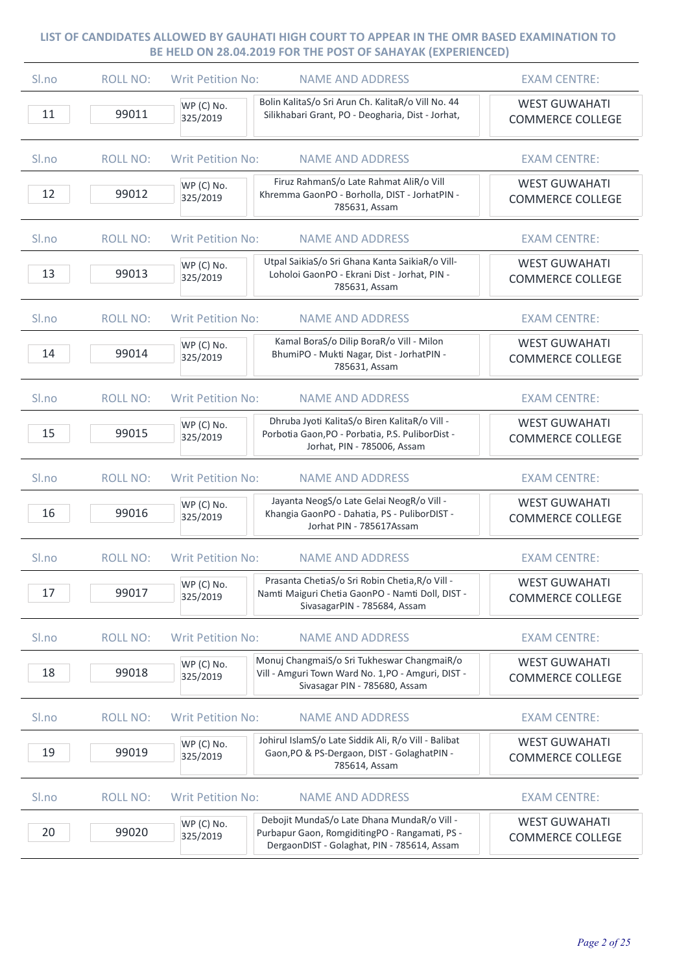| Sl.no    | <b>ROLL NO:</b> | <b>Writ Petition No:</b> | <b>NAME AND ADDRESS</b>                                                                                                                      | <b>EXAM CENTRE:</b>                             |
|----------|-----------------|--------------------------|----------------------------------------------------------------------------------------------------------------------------------------------|-------------------------------------------------|
| 11       | 99011           | WP (C) No.<br>325/2019   | Bolin KalitaS/o Sri Arun Ch. KalitaR/o Vill No. 44<br>Silikhabari Grant, PO - Deogharia, Dist - Jorhat,                                      | <b>WEST GUWAHATI</b><br><b>COMMERCE COLLEGE</b> |
| Sl.no    | <b>ROLL NO:</b> | <b>Writ Petition No:</b> | <b>NAME AND ADDRESS</b>                                                                                                                      | <b>EXAM CENTRE:</b>                             |
| 12       | 99012           | WP (C) No.<br>325/2019   | Firuz RahmanS/o Late Rahmat AliR/o Vill<br>Khremma GaonPO - Borholla, DIST - JorhatPIN -<br>785631, Assam                                    | <b>WEST GUWAHATI</b><br><b>COMMERCE COLLEGE</b> |
| Sl.no    | <b>ROLL NO:</b> | <b>Writ Petition No:</b> | <b>NAME AND ADDRESS</b>                                                                                                                      | <b>EXAM CENTRE:</b>                             |
| 13       | 99013           | WP (C) No.<br>325/2019   | Utpal SaikiaS/o Sri Ghana Kanta SaikiaR/o Vill-<br>Loholoi GaonPO - Ekrani Dist - Jorhat, PIN -<br>785631, Assam                             | <b>WEST GUWAHATI</b><br><b>COMMERCE COLLEGE</b> |
| Sl.no    | <b>ROLL NO:</b> | <b>Writ Petition No:</b> | <b>NAME AND ADDRESS</b>                                                                                                                      | <b>EXAM CENTRE:</b>                             |
| 14       | 99014           | WP (C) No.<br>325/2019   | Kamal BoraS/o Dilip BoraR/o Vill - Milon<br>BhumiPO - Mukti Nagar, Dist - JorhatPIN -<br>785631, Assam                                       | <b>WEST GUWAHATI</b><br><b>COMMERCE COLLEGE</b> |
| Sl.no    | <b>ROLL NO:</b> | <b>Writ Petition No:</b> | <b>NAME AND ADDRESS</b>                                                                                                                      | <b>EXAM CENTRE:</b>                             |
| 15       | 99015           | WP (C) No.<br>325/2019   | Dhruba Jyoti KalitaS/o Biren KalitaR/o Vill -<br>Porbotia Gaon, PO - Porbatia, P.S. PuliborDist -<br>Jorhat, PIN - 785006, Assam             | <b>WEST GUWAHATI</b><br><b>COMMERCE COLLEGE</b> |
| Sl.no    | <b>ROLL NO:</b> | <b>Writ Petition No:</b> | <b>NAME AND ADDRESS</b>                                                                                                                      | <b>EXAM CENTRE:</b>                             |
| 16       | 99016           | WP (C) No.<br>325/2019   | Jayanta NeogS/o Late Gelai NeogR/o Vill -<br>Khangia GaonPO - Dahatia, PS - PuliborDIST -<br>Jorhat PIN - 785617Assam                        | <b>WEST GUWAHATI</b><br><b>COMMERCE COLLEGE</b> |
| Sl.no    | <b>ROLL NO:</b> | <b>Writ Petition No:</b> | <b>NAME AND ADDRESS</b>                                                                                                                      | <b>EXAM CENTRE:</b>                             |
| 17       | 99017           | WP (C) No.<br>325/2019   | Prasanta ChetiaS/o Sri Robin Chetia, R/o Vill -<br>Namti Maiguri Chetia GaonPO - Namti Doll, DIST -<br>SivasagarPIN - 785684, Assam          | <b>WEST GUWAHATI</b><br><b>COMMERCE COLLEGE</b> |
| $S1$ .no | <b>ROLL NO:</b> | <b>Writ Petition No:</b> | <b>NAME AND ADDRESS</b>                                                                                                                      | <b>EXAM CENTRE:</b>                             |
| 18       | 99018           | WP (C) No.<br>325/2019   | Monuj ChangmaiS/o Sri Tukheswar ChangmaiR/o<br>Vill - Amguri Town Ward No. 1, PO - Amguri, DIST -<br>Sivasagar PIN - 785680, Assam           | <b>WEST GUWAHATI</b><br><b>COMMERCE COLLEGE</b> |
| Sl.no    | <b>ROLL NO:</b> | <b>Writ Petition No:</b> | <b>NAME AND ADDRESS</b>                                                                                                                      | <b>EXAM CENTRE:</b>                             |
| 19       | 99019           | WP (C) No.<br>325/2019   | Johirul IslamS/o Late Siddik Ali, R/o Vill - Balibat<br>Gaon, PO & PS-Dergaon, DIST - Golaghat PIN -<br>785614, Assam                        | <b>WEST GUWAHATI</b><br><b>COMMERCE COLLEGE</b> |
| Sl.no    | <b>ROLL NO:</b> | <b>Writ Petition No:</b> | <b>NAME AND ADDRESS</b>                                                                                                                      | <b>EXAM CENTRE:</b>                             |
| 20       | 99020           | WP (C) No.<br>325/2019   | Debojit MundaS/o Late Dhana MundaR/o Vill -<br>Purbapur Gaon, RomgiditingPO - Rangamati, PS -<br>DergaonDIST - Golaghat, PIN - 785614, Assam | <b>WEST GUWAHATI</b><br><b>COMMERCE COLLEGE</b> |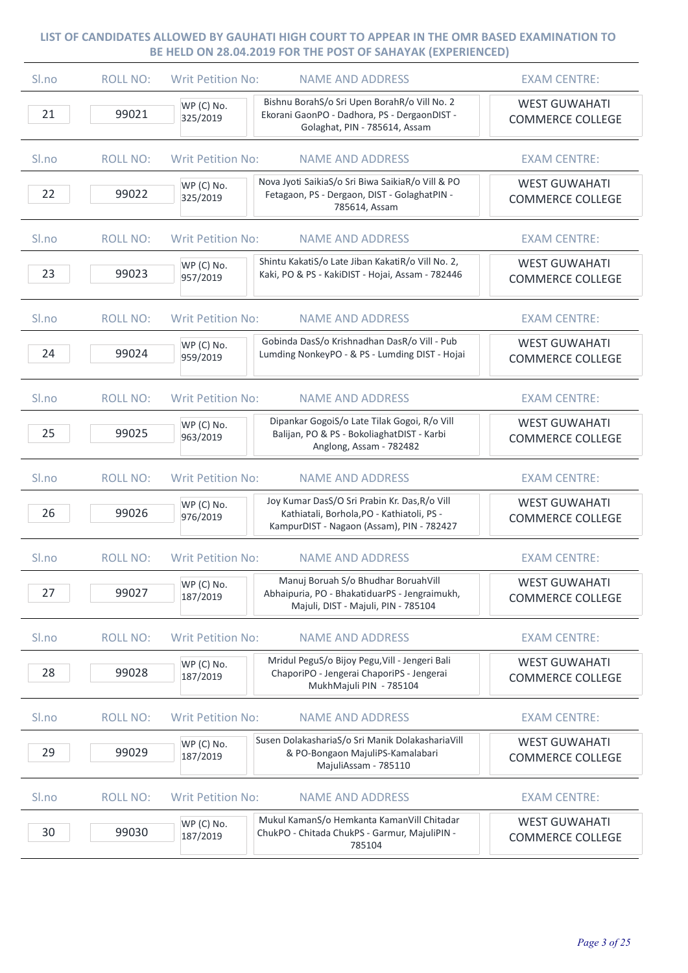| Sl.no    | <b>ROLL NO:</b> | <b>Writ Petition No:</b> | <b>NAME AND ADDRESS</b>                                                                                                                  | <b>EXAM CENTRE:</b>                             |
|----------|-----------------|--------------------------|------------------------------------------------------------------------------------------------------------------------------------------|-------------------------------------------------|
| 21       | 99021           | WP (C) No.<br>325/2019   | Bishnu BorahS/o Sri Upen BorahR/o Vill No. 2<br>Ekorani GaonPO - Dadhora, PS - DergaonDIST -<br>Golaghat, PIN - 785614, Assam            | <b>WEST GUWAHATI</b><br><b>COMMERCE COLLEGE</b> |
| Sl.no    | <b>ROLL NO:</b> | <b>Writ Petition No:</b> | <b>NAME AND ADDRESS</b>                                                                                                                  | <b>EXAM CENTRE:</b>                             |
| 22       | 99022           | WP (C) No.<br>325/2019   | Nova Jyoti SaikiaS/o Sri Biwa SaikiaR/o Vill & PO<br>Fetagaon, PS - Dergaon, DIST - GolaghatPIN -<br>785614, Assam                       | <b>WEST GUWAHATI</b><br><b>COMMERCE COLLEGE</b> |
| Sl.no    | <b>ROLL NO:</b> | <b>Writ Petition No:</b> | <b>NAME AND ADDRESS</b>                                                                                                                  | <b>EXAM CENTRE:</b>                             |
| 23       | 99023           | WP (C) No.<br>957/2019   | Shintu KakatiS/o Late Jiban KakatiR/o Vill No. 2,<br>Kaki, PO & PS - KakiDIST - Hojai, Assam - 782446                                    | <b>WEST GUWAHATI</b><br><b>COMMERCE COLLEGE</b> |
| Sl.no    | <b>ROLL NO:</b> | <b>Writ Petition No:</b> | <b>NAME AND ADDRESS</b>                                                                                                                  | <b>EXAM CENTRE:</b>                             |
| 24       | 99024           | WP (C) No.<br>959/2019   | Gobinda DasS/o Krishnadhan DasR/o Vill - Pub<br>Lumding NonkeyPO - & PS - Lumding DIST - Hojai                                           | <b>WEST GUWAHATI</b><br><b>COMMERCE COLLEGE</b> |
| Sl.no    | <b>ROLL NO:</b> | <b>Writ Petition No:</b> | <b>NAME AND ADDRESS</b>                                                                                                                  | <b>EXAM CENTRE:</b>                             |
| 25       | 99025           | WP (C) No.<br>963/2019   | Dipankar GogoiS/o Late Tilak Gogoi, R/o Vill<br>Balijan, PO & PS - BokoliaghatDIST - Karbi<br>Anglong, Assam - 782482                    | <b>WEST GUWAHATI</b><br><b>COMMERCE COLLEGE</b> |
| Sl.no    | <b>ROLL NO:</b> | <b>Writ Petition No:</b> | <b>NAME AND ADDRESS</b>                                                                                                                  | <b>EXAM CENTRE:</b>                             |
| 26       | 99026           | WP (C) No.<br>976/2019   | Joy Kumar DasS/O Sri Prabin Kr. Das, R/o Vill<br>Kathiatali, Borhola, PO - Kathiatoli, PS -<br>KampurDIST - Nagaon (Assam), PIN - 782427 | <b>WEST GUWAHATI</b><br><b>COMMERCE COLLEGE</b> |
| Sl.no    | <b>ROLL NO:</b> | <b>Writ Petition No:</b> | <b>NAME AND ADDRESS</b>                                                                                                                  | <b>EXAM CENTRE:</b>                             |
| 27       | 99027           | WP (C) No.<br>187/2019   | Manuj Boruah S/o Bhudhar BoruahVill<br>Abhaipuria, PO - BhakatiduarPS - Jengraimukh,<br>Majuli, DIST - Majuli, PIN - 785104              | <b>WEST GUWAHATI</b><br><b>COMMERCE COLLEGE</b> |
| $S1$ .no | <b>ROLL NO:</b> | <b>Writ Petition No:</b> | <b>NAME AND ADDRESS</b>                                                                                                                  | <b>EXAM CENTRE:</b>                             |
| 28       | 99028           | WP (C) No.<br>187/2019   | Mridul PeguS/o Bijoy Pegu, Vill - Jengeri Bali<br>ChaporiPO - Jengerai ChaporiPS - Jengerai<br>MukhMajuli PIN - 785104                   | <b>WEST GUWAHATI</b><br><b>COMMERCE COLLEGE</b> |
| Sl.no    | <b>ROLL NO:</b> | <b>Writ Petition No:</b> | <b>NAME AND ADDRESS</b>                                                                                                                  | <b>EXAM CENTRE:</b>                             |
| 29       | 99029           | WP (C) No.<br>187/2019   | Susen DolakashariaS/o Sri Manik DolakashariaVill<br>& PO-Bongaon MajuliPS-Kamalabari<br>MajuliAssam - 785110                             | <b>WEST GUWAHATI</b><br><b>COMMERCE COLLEGE</b> |
| Sl.no    | <b>ROLL NO:</b> | <b>Writ Petition No:</b> | <b>NAME AND ADDRESS</b>                                                                                                                  | <b>EXAM CENTRE:</b>                             |
| 30       | 99030           | WP (C) No.<br>187/2019   | Mukul KamanS/o Hemkanta KamanVill Chitadar<br>ChukPO - Chitada ChukPS - Garmur, MajuliPIN -<br>785104                                    | <b>WEST GUWAHATI</b><br><b>COMMERCE COLLEGE</b> |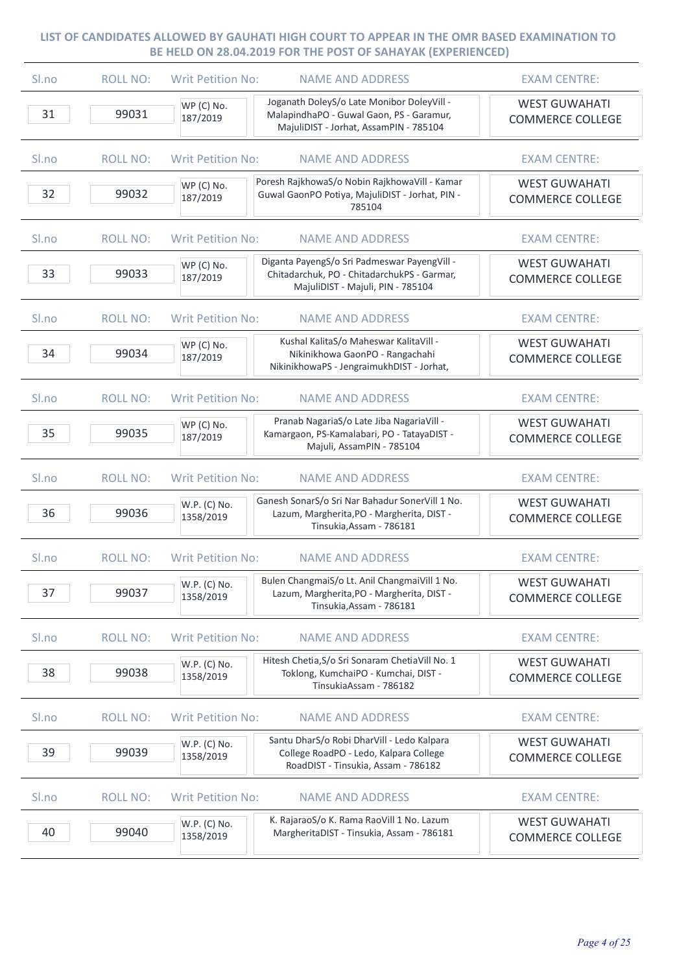| Sl.no | <b>ROLL NO:</b> | <b>Writ Petition No:</b><br><b>NAME AND ADDRESS</b>                                                                                                        | <b>EXAM CENTRE:</b>                             |
|-------|-----------------|------------------------------------------------------------------------------------------------------------------------------------------------------------|-------------------------------------------------|
| 31    | 99031           | Joganath DoleyS/o Late Monibor DoleyVill -<br>WP (C) No.<br>MalapindhaPO - Guwal Gaon, PS - Garamur,<br>187/2019<br>MajuliDIST - Jorhat, AssamPIN - 785104 | <b>WEST GUWAHATI</b><br><b>COMMERCE COLLEGE</b> |
| Sl.no | <b>ROLL NO:</b> | <b>Writ Petition No:</b><br><b>NAME AND ADDRESS</b>                                                                                                        | <b>EXAM CENTRE:</b>                             |
| 32    | 99032           | Poresh RajkhowaS/o Nobin RajkhowaVill - Kamar<br>WP (C) No.<br>Guwal GaonPO Potiya, MajuliDIST - Jorhat, PIN -<br>187/2019<br>785104                       | <b>WEST GUWAHATI</b><br><b>COMMERCE COLLEGE</b> |
| Sl.no | <b>ROLL NO:</b> | <b>Writ Petition No:</b><br><b>NAME AND ADDRESS</b>                                                                                                        | <b>EXAM CENTRE:</b>                             |
| 33    | 99033           | Diganta PayengS/o Sri Padmeswar PayengVill -<br>WP (C) No.<br>Chitadarchuk, PO - ChitadarchukPS - Garmar,<br>187/2019<br>MajuliDIST - Majuli, PIN - 785104 | <b>WEST GUWAHATI</b><br><b>COMMERCE COLLEGE</b> |
| Sl.no | <b>ROLL NO:</b> | <b>NAME AND ADDRESS</b><br><b>Writ Petition No:</b>                                                                                                        | <b>EXAM CENTRE:</b>                             |
| 34    | 99034           | Kushal KalitaS/o Maheswar KalitaVill -<br>WP (C) No.<br>Nikinikhowa GaonPO - Rangachahi<br>187/2019<br>NikinikhowaPS - JengraimukhDIST - Jorhat,           | <b>WEST GUWAHATI</b><br><b>COMMERCE COLLEGE</b> |
| Sl.no | <b>ROLL NO:</b> | <b>Writ Petition No:</b><br><b>NAME AND ADDRESS</b>                                                                                                        | <b>EXAM CENTRE:</b>                             |
| 35    | 99035           | Pranab NagariaS/o Late Jiba NagariaVill -<br>WP (C) No.<br>Kamargaon, PS-Kamalabari, PO - TatayaDIST -<br>187/2019<br>Majuli, AssamPIN - 785104            | <b>WEST GUWAHATI</b><br><b>COMMERCE COLLEGE</b> |
| Sl.no | <b>ROLL NO:</b> | <b>Writ Petition No:</b><br><b>NAME AND ADDRESS</b>                                                                                                        | <b>EXAM CENTRE:</b>                             |
| 36    | 99036           | Ganesh SonarS/o Sri Nar Bahadur SonerVill 1 No.<br>W.P. (C) No.<br>Lazum, Margherita, PO - Margherita, DIST -<br>1358/2019<br>Tinsukia, Assam - 786181     | <b>WEST GUWAHATI</b><br><b>COMMERCE COLLEGE</b> |
| Sl.no | <b>ROLL NO:</b> | <b>Writ Petition No:</b><br><b>NAME AND ADDRESS</b>                                                                                                        | <b>EXAM CENTRE:</b>                             |
| 37    | 99037           | Bulen ChangmaiS/o Lt. Anil ChangmaiVill 1 No.<br>W.P. (C) No.<br>Lazum, Margherita, PO - Margherita, DIST -<br>1358/2019<br>Tinsukia, Assam - 786181       | <b>WEST GUWAHATI</b><br><b>COMMERCE COLLEGE</b> |
| Sl.no | <b>ROLL NO:</b> | <b>Writ Petition No:</b><br><b>NAME AND ADDRESS</b>                                                                                                        | <b>EXAM CENTRE:</b>                             |
| 38    | 99038           | Hitesh Chetia, S/o Sri Sonaram Chetia Vill No. 1<br>W.P. (C) No.<br>Toklong, KumchaiPO - Kumchai, DIST -<br>1358/2019<br>TinsukiaAssam - 786182            | <b>WEST GUWAHATI</b><br><b>COMMERCE COLLEGE</b> |
| Sl.no | <b>ROLL NO:</b> | <b>Writ Petition No:</b><br><b>NAME AND ADDRESS</b>                                                                                                        | <b>EXAM CENTRE:</b>                             |
| 39    | 99039           | Santu DharS/o Robi DharVill - Ledo Kalpara<br>W.P. (C) No.<br>College RoadPO - Ledo, Kalpara College<br>1358/2019<br>RoadDIST - Tinsukia, Assam - 786182   | <b>WEST GUWAHATI</b><br><b>COMMERCE COLLEGE</b> |
| Sl.no | <b>ROLL NO:</b> | <b>Writ Petition No:</b><br><b>NAME AND ADDRESS</b>                                                                                                        | <b>EXAM CENTRE:</b>                             |
| 40    | 99040           | K. RajaraoS/o K. Rama RaoVill 1 No. Lazum<br>W.P. (C) No.<br>MargheritaDIST - Tinsukia, Assam - 786181<br>1358/2019                                        | <b>WEST GUWAHATI</b><br><b>COMMERCE COLLEGE</b> |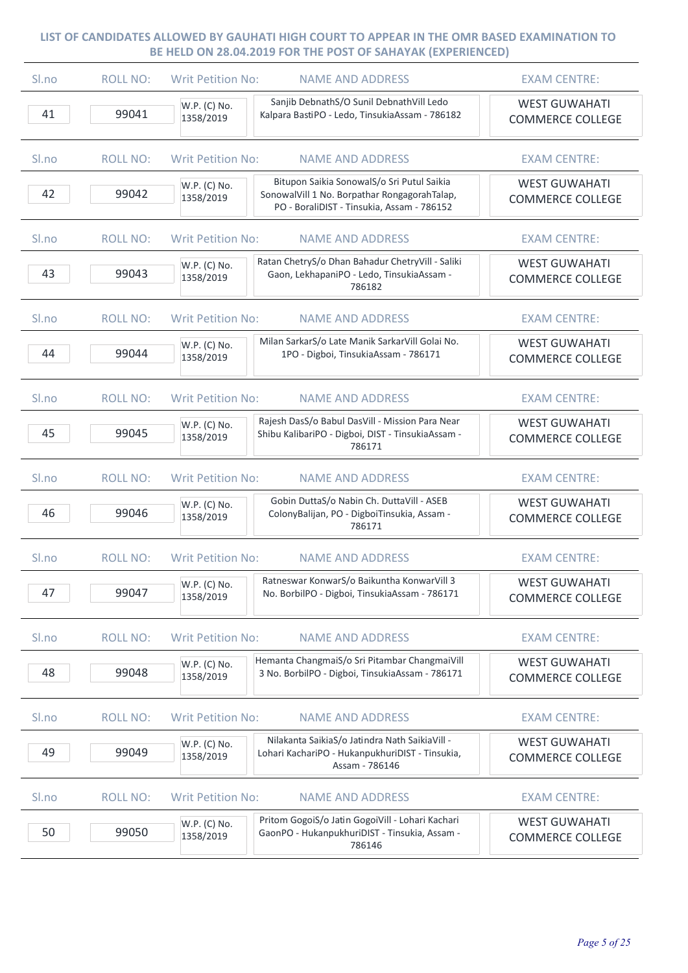| Sl.no | <b>ROLL NO:</b> | <b>Writ Petition No:</b>  | <b>NAME AND ADDRESS</b>                                                                                                                  | <b>EXAM CENTRE:</b>                             |
|-------|-----------------|---------------------------|------------------------------------------------------------------------------------------------------------------------------------------|-------------------------------------------------|
| 41    | 99041           | W.P. (C) No.<br>1358/2019 | Sanjib DebnathS/O Sunil DebnathVill Ledo<br>Kalpara BastiPO - Ledo, TinsukiaAssam - 786182                                               | <b>WEST GUWAHATI</b><br><b>COMMERCE COLLEGE</b> |
| Sl.no | <b>ROLL NO:</b> | <b>Writ Petition No:</b>  | <b>NAME AND ADDRESS</b>                                                                                                                  | <b>EXAM CENTRE:</b>                             |
| 42    | 99042           | W.P. (C) No.<br>1358/2019 | Bitupon Saikia SonowalS/o Sri Putul Saikia<br>SonowalVill 1 No. Borpathar RongagorahTalap,<br>PO - BoraliDIST - Tinsukia, Assam - 786152 | <b>WEST GUWAHATI</b><br><b>COMMERCE COLLEGE</b> |
| Sl.no | <b>ROLL NO:</b> | <b>Writ Petition No:</b>  | <b>NAME AND ADDRESS</b>                                                                                                                  | <b>EXAM CENTRE:</b>                             |
| 43    | 99043           | W.P. (C) No.<br>1358/2019 | Ratan ChetryS/o Dhan Bahadur ChetryVill - Saliki<br>Gaon, LekhapaniPO - Ledo, TinsukiaAssam -<br>786182                                  | <b>WEST GUWAHATI</b><br><b>COMMERCE COLLEGE</b> |
| Sl.no | <b>ROLL NO:</b> | <b>Writ Petition No:</b>  | <b>NAME AND ADDRESS</b>                                                                                                                  | <b>EXAM CENTRE:</b>                             |
| 44    | 99044           | W.P. (C) No.<br>1358/2019 | Milan SarkarS/o Late Manik SarkarVill Golai No.<br>1PO - Digboi, TinsukiaAssam - 786171                                                  | <b>WEST GUWAHATI</b><br><b>COMMERCE COLLEGE</b> |
| Sl.no | <b>ROLL NO:</b> | <b>Writ Petition No:</b>  | <b>NAME AND ADDRESS</b>                                                                                                                  | <b>EXAM CENTRE:</b>                             |
| 45    | 99045           | W.P. (C) No.<br>1358/2019 | Rajesh DasS/o Babul DasVill - Mission Para Near<br>Shibu KalibariPO - Digboi, DIST - TinsukiaAssam -<br>786171                           | <b>WEST GUWAHATI</b><br><b>COMMERCE COLLEGE</b> |
| Sl.no | <b>ROLL NO:</b> | <b>Writ Petition No:</b>  | <b>NAME AND ADDRESS</b>                                                                                                                  | <b>EXAM CENTRE:</b>                             |
| 46    | 99046           | W.P. (C) No.<br>1358/2019 | Gobin DuttaS/o Nabin Ch. DuttaVill - ASEB<br>ColonyBalijan, PO - DigboiTinsukia, Assam -<br>786171                                       | <b>WEST GUWAHATI</b><br><b>COMMERCE COLLEGE</b> |
| Sl.no | <b>ROLL NO:</b> | <b>Writ Petition No:</b>  | <b>NAME AND ADDRESS</b>                                                                                                                  | <b>EXAM CENTRE:</b>                             |
| 47    | 99047           | W.P. (C) No.<br>1358/2019 | Ratneswar KonwarS/o Baikuntha KonwarVill 3<br>No. BorbilPO - Digboi, TinsukiaAssam - 786171                                              | <b>WEST GUWAHATI</b><br><b>COMMERCE COLLEGE</b> |
| Sl.no | <b>ROLL NO:</b> | <b>Writ Petition No:</b>  | <b>NAME AND ADDRESS</b>                                                                                                                  | <b>EXAM CENTRE:</b>                             |
| 48    | 99048           | W.P. (C) No.<br>1358/2019 | Hemanta ChangmaiS/o Sri Pitambar ChangmaiVill<br>3 No. BorbilPO - Digboi, TinsukiaAssam - 786171                                         | <b>WEST GUWAHATI</b><br><b>COMMERCE COLLEGE</b> |
| Sl.no | <b>ROLL NO:</b> | <b>Writ Petition No:</b>  | <b>NAME AND ADDRESS</b>                                                                                                                  | <b>EXAM CENTRE:</b>                             |
| 49    | 99049           | W.P. (C) No.<br>1358/2019 | Nilakanta SaikiaS/o Jatindra Nath SaikiaVill -<br>Lohari KachariPO - HukanpukhuriDIST - Tinsukia,<br>Assam - 786146                      | <b>WEST GUWAHATI</b><br><b>COMMERCE COLLEGE</b> |
| Sl.no | <b>ROLL NO:</b> | <b>Writ Petition No:</b>  | <b>NAME AND ADDRESS</b>                                                                                                                  | <b>EXAM CENTRE:</b>                             |
| 50    | 99050           | W.P. (C) No.<br>1358/2019 | Pritom GogoiS/o Jatin GogoiVill - Lohari Kachari<br>GaonPO - HukanpukhuriDIST - Tinsukia, Assam -<br>786146                              | <b>WEST GUWAHATI</b><br><b>COMMERCE COLLEGE</b> |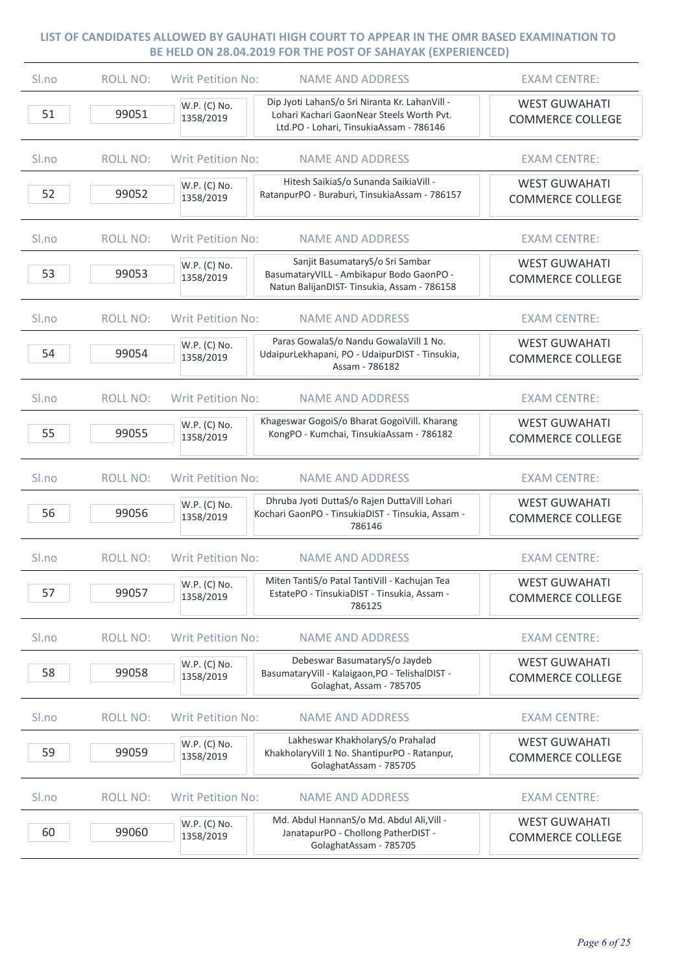| Sl.no            | <b>ROLL NO:</b> | <b>Writ Petition No:</b>  | <b>NAME AND ADDRESS</b>                                                                                                                | <b>EXAM CENTRE:</b>                             |
|------------------|-----------------|---------------------------|----------------------------------------------------------------------------------------------------------------------------------------|-------------------------------------------------|
| 51               | 99051           | W.P. (C) No.<br>1358/2019 | Dip Jyoti LahanS/o Sri Niranta Kr. LahanVill -<br>Lohari Kachari GaonNear Steels Worth Pvt.<br>Ltd.PO - Lohari, TinsukiaAssam - 786146 | <b>WEST GUWAHATI</b><br><b>COMMERCE COLLEGE</b> |
| Sl.no            | <b>ROLL NO:</b> | <b>Writ Petition No:</b>  | <b>NAME AND ADDRESS</b>                                                                                                                | <b>EXAM CENTRE:</b>                             |
| 52               | 99052           | W.P. (C) No.<br>1358/2019 | Hitesh SaikiaS/o Sunanda SaikiaVill -<br>RatanpurPO - Buraburi, TinsukiaAssam - 786157                                                 | <b>WEST GUWAHATI</b><br><b>COMMERCE COLLEGE</b> |
| Sl.no            | <b>ROLL NO:</b> | <b>Writ Petition No:</b>  | <b>NAME AND ADDRESS</b>                                                                                                                | <b>EXAM CENTRE:</b>                             |
| 53               | 99053           | W.P. (C) No.<br>1358/2019 | Sanjit BasumataryS/o Sri Sambar<br>BasumataryVILL - Ambikapur Bodo GaonPO -<br>Natun BalijanDIST- Tinsukia, Assam - 786158             | <b>WEST GUWAHATI</b><br><b>COMMERCE COLLEGE</b> |
| S <sub>lno</sub> | <b>ROLL NO:</b> | <b>Writ Petition No:</b>  | <b>NAME AND ADDRESS</b>                                                                                                                | <b>EXAM CENTRE:</b>                             |
| 54               | 99054           | W.P. (C) No.<br>1358/2019 | Paras GowalaS/o Nandu GowalaVill 1 No.<br>UdaipurLekhapani, PO - UdaipurDIST - Tinsukia,<br>Assam - 786182                             | <b>WEST GUWAHATI</b><br><b>COMMERCE COLLEGE</b> |
| Sl.no            | <b>ROLL NO:</b> | <b>Writ Petition No:</b>  | <b>NAME AND ADDRESS</b>                                                                                                                | <b>EXAM CENTRE:</b>                             |
| 55               | 99055           | W.P. (C) No.<br>1358/2019 | Khageswar GogoiS/o Bharat GogoiVill. Kharang<br>KongPO - Kumchai, TinsukiaAssam - 786182                                               | <b>WEST GUWAHATI</b><br><b>COMMERCE COLLEGE</b> |
| Sl.no            | <b>ROLL NO:</b> | <b>Writ Petition No:</b>  | <b>NAME AND ADDRESS</b>                                                                                                                | <b>EXAM CENTRE:</b>                             |
| 56               | 99056           | W.P. (C) No.<br>1358/2019 | Dhruba Jyoti DuttaS/o Rajen DuttaVill Lohari<br>Kochari GaonPO - TinsukiaDIST - Tinsukia, Assam -<br>786146                            | <b>WEST GUWAHATI</b><br><b>COMMERCE COLLEGE</b> |
| Sl.no            | <b>ROLL NO:</b> | <b>Writ Petition No:</b>  | <b>NAME AND ADDRESS</b>                                                                                                                | <b>EXAM CENTRE:</b>                             |
| 57               | 99057           | W.P. (C) No.<br>1358/2019 | Miten TantiS/o Patal TantiVill - Kachujan Tea<br>EstatePO - TinsukiaDIST - Tinsukia, Assam -<br>786125                                 | <b>WEST GUWAHATI</b><br><b>COMMERCE COLLEGE</b> |
| Sl.no            | <b>ROLL NO:</b> | <b>Writ Petition No:</b>  | <b>NAME AND ADDRESS</b>                                                                                                                | <b>EXAM CENTRE:</b>                             |
| 58               | 99058           | W.P. (C) No.<br>1358/2019 | Debeswar BasumataryS/o Jaydeb<br>BasumataryVill - Kalaigaon, PO - TelishalDIST -<br>Golaghat, Assam - 785705                           | <b>WEST GUWAHATI</b><br><b>COMMERCE COLLEGE</b> |
| Sl.no            | <b>ROLL NO:</b> | <b>Writ Petition No:</b>  | <b>NAME AND ADDRESS</b>                                                                                                                | <b>EXAM CENTRE:</b>                             |
| 59               | 99059           | W.P. (C) No.<br>1358/2019 | Lakheswar KhakholaryS/o Prahalad<br>KhakholaryVill 1 No. ShantipurPO - Ratanpur,<br>GolaghatAssam - 785705                             | <b>WEST GUWAHATI</b><br><b>COMMERCE COLLEGE</b> |
| Sl.no            | <b>ROLL NO:</b> | <b>Writ Petition No:</b>  | <b>NAME AND ADDRESS</b>                                                                                                                | <b>EXAM CENTRE:</b>                             |
| 60               | 99060           | W.P. (C) No.<br>1358/2019 | Md. Abdul HannanS/o Md. Abdul Ali, Vill -<br>JanatapurPO - Chollong PatherDIST -<br>GolaghatAssam - 785705                             | <b>WEST GUWAHATI</b><br><b>COMMERCE COLLEGE</b> |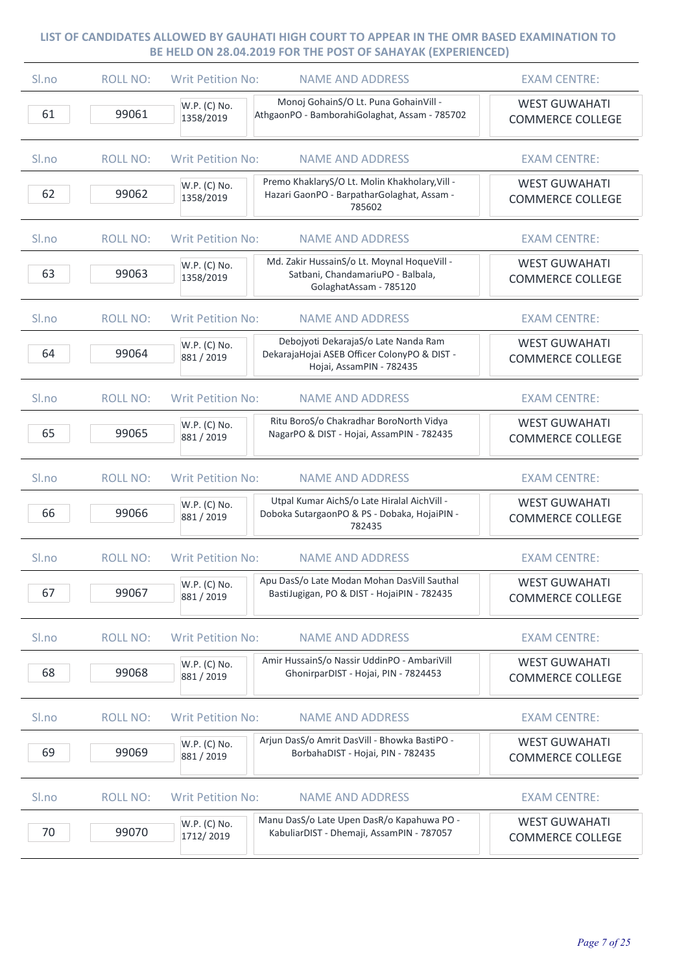| Sl.no | <b>ROLL NO:</b> | <b>Writ Petition No:</b><br><b>NAME AND ADDRESS</b>                                                                                            | <b>EXAM CENTRE:</b>                             |
|-------|-----------------|------------------------------------------------------------------------------------------------------------------------------------------------|-------------------------------------------------|
| 61    | 99061           | Monoj GohainS/O Lt. Puna GohainVill -<br>W.P. (C) No.<br>AthgaonPO - BamborahiGolaghat, Assam - 785702<br>1358/2019                            | <b>WEST GUWAHATI</b><br><b>COMMERCE COLLEGE</b> |
| Sl.no | <b>ROLL NO:</b> | <b>Writ Petition No:</b><br><b>NAME AND ADDRESS</b>                                                                                            | <b>EXAM CENTRE:</b>                             |
| 62    | 99062           | Premo KhaklaryS/O Lt. Molin Khakholary, Vill -<br>W.P. (C) No.<br>Hazari GaonPO - BarpatharGolaghat, Assam -<br>1358/2019<br>785602            | <b>WEST GUWAHATI</b><br><b>COMMERCE COLLEGE</b> |
| Sl.no | <b>ROLL NO:</b> | <b>Writ Petition No:</b><br><b>NAME AND ADDRESS</b>                                                                                            | <b>EXAM CENTRE:</b>                             |
| 63    | 99063           | Md. Zakir HussainS/o Lt. Moynal HoqueVill -<br>W.P. (C) No.<br>Satbani, ChandamariuPO - Balbala,<br>1358/2019<br>GolaghatAssam - 785120        | <b>WEST GUWAHATI</b><br><b>COMMERCE COLLEGE</b> |
| Sl.no | <b>ROLL NO:</b> | <b>NAME AND ADDRESS</b><br><b>Writ Petition No:</b>                                                                                            | <b>EXAM CENTRE:</b>                             |
| 64    | 99064           | Debojyoti DekarajaS/o Late Nanda Ram<br>W.P. (C) No.<br>DekarajaHojai ASEB Officer ColonyPO & DIST -<br>881 / 2019<br>Hojai, AssamPIN - 782435 | <b>WEST GUWAHATI</b><br><b>COMMERCE COLLEGE</b> |
| Sl.no | <b>ROLL NO:</b> | <b>Writ Petition No:</b><br><b>NAME AND ADDRESS</b>                                                                                            | <b>EXAM CENTRE:</b>                             |
| 65    | 99065           | Ritu BoroS/o Chakradhar BoroNorth Vidya<br>W.P. (C) No.<br>NagarPO & DIST - Hojai, AssamPIN - 782435<br>881 / 2019                             | <b>WEST GUWAHATI</b><br><b>COMMERCE COLLEGE</b> |
| Sl.no | <b>ROLL NO:</b> | <b>Writ Petition No:</b><br><b>NAME AND ADDRESS</b>                                                                                            | <b>EXAM CENTRE:</b>                             |
| 66    | 99066           | Utpal Kumar AichS/o Late Hiralal AichVill -<br>W.P. (C) No.<br>Doboka SutargaonPO & PS - Dobaka, HojaiPIN -<br>881 / 2019<br>782435            | <b>WEST GUWAHATI</b><br><b>COMMERCE COLLEGE</b> |
| Sl.no | <b>ROLL NO:</b> | <b>Writ Petition No:</b><br><b>NAME AND ADDRESS</b>                                                                                            | <b>EXAM CENTRE:</b>                             |
| 67    | 99067           | Apu DasS/o Late Modan Mohan DasVill Sauthal<br>W.P. (C) No.<br>BastiJugigan, PO & DIST - HojaiPIN - 782435<br>881 / 2019                       | <b>WEST GUWAHATI</b><br><b>COMMERCE COLLEGE</b> |
| Sl.no | <b>ROLL NO:</b> | <b>Writ Petition No:</b><br><b>NAME AND ADDRESS</b>                                                                                            | <b>EXAM CENTRE:</b>                             |
| 68    | 99068           | Amir HussainS/o Nassir UddinPO - AmbariVill<br>W.P. (C) No.<br>GhonirparDIST - Hojai, PIN - 7824453<br>881 / 2019                              | <b>WEST GUWAHATI</b><br><b>COMMERCE COLLEGE</b> |
| Sl.no | <b>ROLL NO:</b> | <b>Writ Petition No:</b><br><b>NAME AND ADDRESS</b>                                                                                            | <b>EXAM CENTRE:</b>                             |
| 69    | 99069           | Arjun DasS/o Amrit DasVill - Bhowka BastiPO -<br>W.P. (C) No.<br>BorbahaDIST - Hojai, PIN - 782435<br>881 / 2019                               | <b>WEST GUWAHATI</b><br><b>COMMERCE COLLEGE</b> |
| Sl.no | <b>ROLL NO:</b> | <b>Writ Petition No:</b><br><b>NAME AND ADDRESS</b>                                                                                            | <b>EXAM CENTRE:</b>                             |
| 70    | 99070           | Manu DasS/o Late Upen DasR/o Kapahuwa PO -<br>W.P. (C) No.<br>KabuliarDIST - Dhemaji, AssamPIN - 787057<br>1712/2019                           | <b>WEST GUWAHATI</b><br><b>COMMERCE COLLEGE</b> |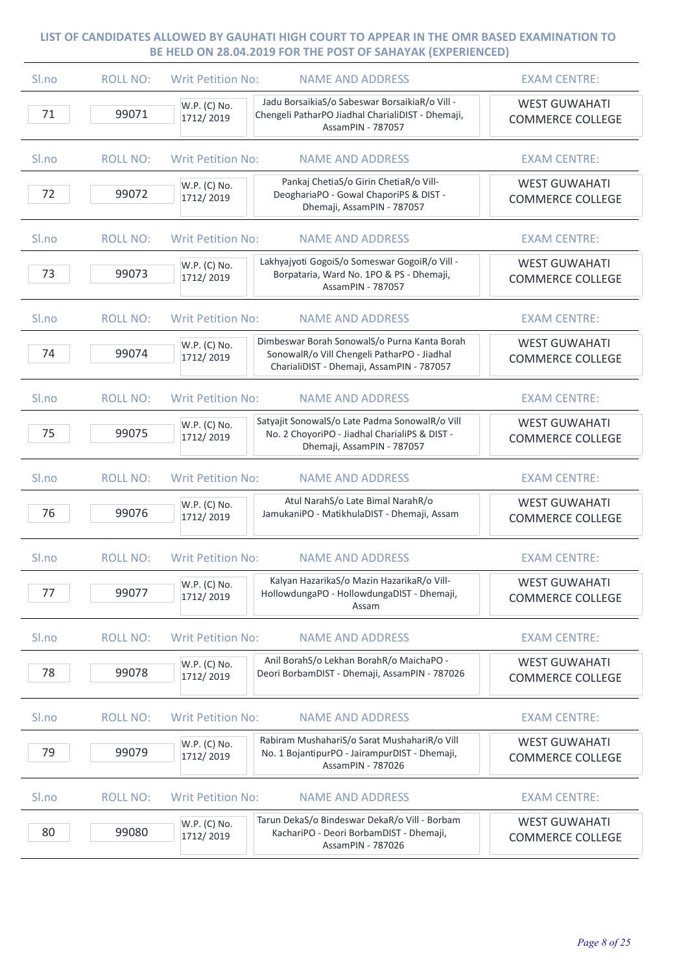| Sl.no | <b>ROLL NO:</b> | <b>Writ Petition No:</b><br><b>NAME AND ADDRESS</b>                                                                                                                   | <b>EXAM CENTRE:</b>                             |
|-------|-----------------|-----------------------------------------------------------------------------------------------------------------------------------------------------------------------|-------------------------------------------------|
| 71    | 99071           | Jadu BorsaikiaS/o Sabeswar BorsaikiaR/o Vill -<br>W.P. (C) No.<br>Chengeli PatharPO Jiadhal CharialiDIST - Dhemaji,<br>1712/2019<br>AssamPIN - 787057                 | <b>WEST GUWAHATI</b><br><b>COMMERCE COLLEGE</b> |
| Sl.no | <b>ROLL NO:</b> | <b>Writ Petition No:</b><br><b>NAME AND ADDRESS</b>                                                                                                                   | <b>EXAM CENTRE:</b>                             |
| 72    | 99072           | Pankaj ChetiaS/o Girin ChetiaR/o Vill-<br>W.P. (C) No.<br>DeoghariaPO - Gowal ChaporiPS & DIST -<br>1712/2019<br>Dhemaji, AssamPIN - 787057                           | <b>WEST GUWAHATI</b><br><b>COMMERCE COLLEGE</b> |
| Sl.no | <b>ROLL NO:</b> | <b>Writ Petition No:</b><br><b>NAME AND ADDRESS</b>                                                                                                                   | <b>EXAM CENTRE:</b>                             |
| 73    | 99073           | Lakhyajyoti GogoiS/o Someswar GogoiR/o Vill -<br>W.P. (C) No.<br>Borpataria, Ward No. 1PO & PS - Dhemaji,<br>1712/2019<br>AssamPIN - 787057                           | <b>WEST GUWAHATI</b><br><b>COMMERCE COLLEGE</b> |
| Sl.no | <b>ROLL NO:</b> | <b>Writ Petition No:</b><br><b>NAME AND ADDRESS</b>                                                                                                                   | <b>EXAM CENTRE:</b>                             |
| 74    | 99074           | Dimbeswar Borah SonowalS/o Purna Kanta Borah<br>W.P. (C) No.<br>SonowalR/o Vill Chengeli PatharPO - Jiadhal<br>1712/2019<br>CharialiDIST - Dhemaji, AssamPIN - 787057 | <b>WEST GUWAHATI</b><br><b>COMMERCE COLLEGE</b> |
| Sl.no | <b>ROLL NO:</b> | <b>Writ Petition No:</b><br><b>NAME AND ADDRESS</b>                                                                                                                   | <b>EXAM CENTRE:</b>                             |
| 75    | 99075           | Satyajit SonowalS/o Late Padma SonowalR/o Vill<br>W.P. (C) No.<br>No. 2 ChoyoriPO - Jiadhal CharialiPS & DIST -<br>1712/2019<br>Dhemaji, AssamPIN - 787057            | <b>WEST GUWAHATI</b><br><b>COMMERCE COLLEGE</b> |
| Sl.no | <b>ROLL NO:</b> | <b>Writ Petition No:</b><br><b>NAME AND ADDRESS</b>                                                                                                                   | <b>EXAM CENTRE:</b>                             |
| 76    | 99076           | Atul NarahS/o Late Bimal NarahR/o<br>W.P. (C) No.<br>JamukaniPO - MatikhulaDIST - Dhemaji, Assam<br>1712/2019                                                         | <b>WEST GUWAHATI</b><br><b>COMMERCE COLLEGE</b> |
| Sl.no | <b>ROLL NO:</b> | <b>Writ Petition No:</b><br><b>NAME AND ADDRESS</b>                                                                                                                   | <b>EXAM CENTRE:</b>                             |
| 77    | 99077           | Kalyan HazarikaS/o Mazin HazarikaR/o Vill-<br>W.P. (C) No.<br>HollowdungaPO - HollowdungaDIST - Dhemaji,<br>1712/2019<br>Assam                                        | <b>WEST GUWAHATI</b><br><b>COMMERCE COLLEGE</b> |
| Sl.no | <b>ROLL NO:</b> | <b>Writ Petition No:</b><br><b>NAME AND ADDRESS</b>                                                                                                                   | <b>EXAM CENTRE:</b>                             |
| 78    | 99078           | Anil BorahS/o Lekhan BorahR/o MaichaPO -<br>W.P. (C) No.<br>Deori BorbamDIST - Dhemaji, AssamPIN - 787026<br>1712/2019                                                | <b>WEST GUWAHATI</b><br><b>COMMERCE COLLEGE</b> |
| Sl.no | <b>ROLL NO:</b> | <b>Writ Petition No:</b><br><b>NAME AND ADDRESS</b>                                                                                                                   | <b>EXAM CENTRE:</b>                             |
| 79    | 99079           | Rabiram MushahariS/o Sarat MushahariR/o Vill<br>W.P. (C) No.<br>No. 1 BojantipurPO - JairampurDIST - Dhemaji,<br>1712/2019<br>AssamPIN - 787026                       | <b>WEST GUWAHATI</b><br><b>COMMERCE COLLEGE</b> |
| Sl.no | <b>ROLL NO:</b> | <b>Writ Petition No:</b><br><b>NAME AND ADDRESS</b>                                                                                                                   | <b>EXAM CENTRE:</b>                             |
| 80    | 99080           | Tarun DekaS/o Bindeswar DekaR/o Vill - Borbam<br>W.P. (C) No.<br>KachariPO - Deori BorbamDIST - Dhemaji,<br>1712/2019<br>AssamPIN - 787026                            | <b>WEST GUWAHATI</b><br><b>COMMERCE COLLEGE</b> |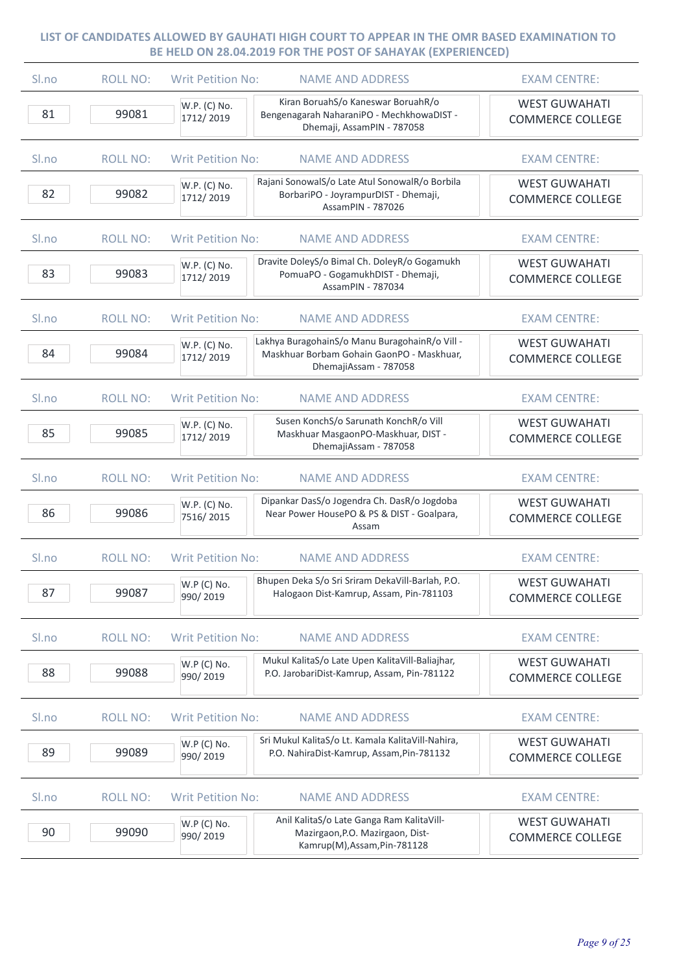| Sl.no | <b>ROLL NO:</b> | <b>Writ Petition No:</b><br><b>NAME AND ADDRESS</b>                                                                                               | <b>EXAM CENTRE:</b>                             |
|-------|-----------------|---------------------------------------------------------------------------------------------------------------------------------------------------|-------------------------------------------------|
| 81    | 99081           | Kiran BoruahS/o Kaneswar BoruahR/o<br>W.P. (C) No.<br>Bengenagarah NaharaniPO - MechkhowaDIST -<br>1712/2019<br>Dhemaji, AssamPIN - 787058        | <b>WEST GUWAHATI</b><br><b>COMMERCE COLLEGE</b> |
| Sl.no | <b>ROLL NO:</b> | <b>Writ Petition No:</b><br><b>NAME AND ADDRESS</b>                                                                                               | <b>EXAM CENTRE:</b>                             |
| 82    | 99082           | Rajani SonowalS/o Late Atul SonowalR/o Borbila<br>W.P. (C) No.<br>BorbariPO - JoyrampurDIST - Dhemaji,<br>1712/2019<br>AssamPIN - 787026          | <b>WEST GUWAHATI</b><br><b>COMMERCE COLLEGE</b> |
| Sl.no | <b>ROLL NO:</b> | <b>Writ Petition No:</b><br><b>NAME AND ADDRESS</b>                                                                                               | <b>EXAM CENTRE:</b>                             |
| 83    | 99083           | Dravite DoleyS/o Bimal Ch. DoleyR/o Gogamukh<br>W.P. (C) No.<br>PomuaPO - GogamukhDIST - Dhemaji,<br>1712/2019<br>AssamPIN - 787034               | <b>WEST GUWAHATI</b><br><b>COMMERCE COLLEGE</b> |
| Sl.no | <b>ROLL NO:</b> | <b>Writ Petition No:</b><br><b>NAME AND ADDRESS</b>                                                                                               | <b>EXAM CENTRE:</b>                             |
| 84    | 99084           | Lakhya BuragohainS/o Manu BuragohainR/o Vill -<br>W.P. (C) No.<br>Maskhuar Borbam Gohain GaonPO - Maskhuar,<br>1712/2019<br>DhemajiAssam - 787058 | <b>WEST GUWAHATI</b><br><b>COMMERCE COLLEGE</b> |
| Sl.no | <b>ROLL NO:</b> | <b>Writ Petition No:</b><br><b>NAME AND ADDRESS</b>                                                                                               | <b>EXAM CENTRE:</b>                             |
| 85    | 99085           | Susen KonchS/o Sarunath KonchR/o Vill<br>W.P. (C) No.<br>Maskhuar MasgaonPO-Maskhuar, DIST -<br>1712/2019<br>DhemajiAssam - 787058                | <b>WEST GUWAHATI</b><br><b>COMMERCE COLLEGE</b> |
| Sl.no | <b>ROLL NO:</b> | <b>Writ Petition No:</b><br><b>NAME AND ADDRESS</b>                                                                                               | <b>EXAM CENTRE:</b>                             |
| 86    | 99086           | Dipankar DasS/o Jogendra Ch. DasR/o Jogdoba<br>W.P. (C) No.<br>Near Power HousePO & PS & DIST - Goalpara,<br>7516/2015<br>Assam                   | <b>WEST GUWAHATI</b><br><b>COMMERCE COLLEGE</b> |
| Sl.no | <b>ROLL NO:</b> | <b>Writ Petition No:</b><br><b>NAME AND ADDRESS</b>                                                                                               | <b>EXAM CENTRE:</b>                             |
| 87    | 99087           | Bhupen Deka S/o Sri Sriram DekaVill-Barlah, P.O.<br>W.P (C) No.<br>Halogaon Dist-Kamrup, Assam, Pin-781103<br>990/2019                            | <b>WEST GUWAHATI</b><br><b>COMMERCE COLLEGE</b> |
| Sl.no | <b>ROLL NO:</b> | <b>Writ Petition No:</b><br><b>NAME AND ADDRESS</b>                                                                                               | <b>EXAM CENTRE:</b>                             |
| 88    | 99088           | Mukul KalitaS/o Late Upen KalitaVill-Baliajhar,<br>W.P (C) No.<br>P.O. JarobariDist-Kamrup, Assam, Pin-781122<br>990/2019                         | <b>WEST GUWAHATI</b><br><b>COMMERCE COLLEGE</b> |
| Sl.no | <b>ROLL NO:</b> | <b>Writ Petition No:</b><br><b>NAME AND ADDRESS</b>                                                                                               | <b>EXAM CENTRE:</b>                             |
| 89    | 99089           | Sri Mukul KalitaS/o Lt. Kamala KalitaVill-Nahira,<br>W.P (C) No.<br>P.O. NahiraDist-Kamrup, Assam, Pin-781132<br>990/2019                         | <b>WEST GUWAHATI</b><br><b>COMMERCE COLLEGE</b> |
| Sl.no | <b>ROLL NO:</b> | <b>Writ Petition No:</b><br><b>NAME AND ADDRESS</b>                                                                                               | <b>EXAM CENTRE:</b>                             |
| 90    | 99090           | Anil KalitaS/o Late Ganga Ram KalitaVill-<br>W.P (C) No.<br>Mazirgaon, P.O. Mazirgaon, Dist-<br>990/2019<br>Kamrup(M), Assam, Pin-781128          | <b>WEST GUWAHATI</b><br><b>COMMERCE COLLEGE</b> |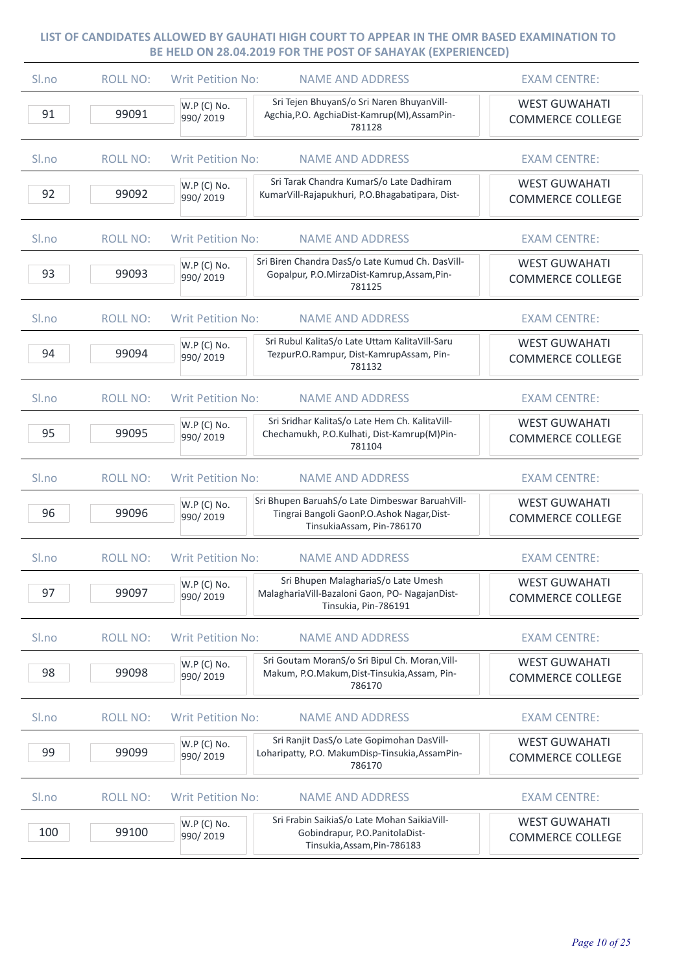| Sl.no | <b>ROLL NO:</b> | <b>Writ Petition No:</b> | <b>NAME AND ADDRESS</b>                                                                                                    | <b>EXAM CENTRE:</b>                             |
|-------|-----------------|--------------------------|----------------------------------------------------------------------------------------------------------------------------|-------------------------------------------------|
| 91    | 99091           | W.P (C) No.<br>990/2019  | Sri Tejen BhuyanS/o Sri Naren BhuyanVill-<br>Agchia, P.O. AgchiaDist-Kamrup(M), AssamPin-<br>781128                        | <b>WEST GUWAHATI</b><br><b>COMMERCE COLLEGE</b> |
| Sl.no | <b>ROLL NO:</b> | <b>Writ Petition No:</b> | <b>NAME AND ADDRESS</b>                                                                                                    | <b>EXAM CENTRE:</b>                             |
| 92    | 99092           | W.P (C) No.<br>990/2019  | Sri Tarak Chandra KumarS/o Late Dadhiram<br>KumarVill-Rajapukhuri, P.O.Bhagabatipara, Dist-                                | <b>WEST GUWAHATI</b><br><b>COMMERCE COLLEGE</b> |
| Sl.no | <b>ROLL NO:</b> | <b>Writ Petition No:</b> | <b>NAME AND ADDRESS</b>                                                                                                    | <b>EXAM CENTRE:</b>                             |
| 93    | 99093           | W.P (C) No.<br>990/2019  | Sri Biren Chandra DasS/o Late Kumud Ch. DasVill-<br>Gopalpur, P.O.MirzaDist-Kamrup, Assam, Pin-<br>781125                  | <b>WEST GUWAHATI</b><br><b>COMMERCE COLLEGE</b> |
| Sl.no | <b>ROLL NO:</b> | <b>Writ Petition No:</b> | <b>NAME AND ADDRESS</b>                                                                                                    | <b>EXAM CENTRE:</b>                             |
| 94    | 99094           | W.P (C) No.<br>990/2019  | Sri Rubul KalitaS/o Late Uttam KalitaVill-Saru<br>TezpurP.O.Rampur, Dist-KamrupAssam, Pin-<br>781132                       | <b>WEST GUWAHATI</b><br><b>COMMERCE COLLEGE</b> |
| Sl.no | <b>ROLL NO:</b> | <b>Writ Petition No:</b> | <b>NAME AND ADDRESS</b>                                                                                                    | <b>EXAM CENTRE:</b>                             |
| 95    | 99095           | W.P (C) No.<br>990/2019  | Sri Sridhar KalitaS/o Late Hem Ch. KalitaVill-<br>Chechamukh, P.O.Kulhati, Dist-Kamrup(M)Pin-<br>781104                    | <b>WEST GUWAHATI</b><br><b>COMMERCE COLLEGE</b> |
| Sl.no | <b>ROLL NO:</b> | <b>Writ Petition No:</b> | <b>NAME AND ADDRESS</b>                                                                                                    | <b>EXAM CENTRE:</b>                             |
| 96    | 99096           | W.P (C) No.<br>990/2019  | Sri Bhupen BaruahS/o Late Dimbeswar BaruahVill-<br>Tingrai Bangoli GaonP.O.Ashok Nagar, Dist-<br>TinsukiaAssam, Pin-786170 | <b>WEST GUWAHATI</b><br><b>COMMERCE COLLEGE</b> |
| Sl.no | <b>ROLL NO:</b> | <b>Writ Petition No:</b> | <b>NAME AND ADDRESS</b>                                                                                                    | <b>EXAM CENTRE:</b>                             |
| 97    | 99097           | W.P (C) No.<br>990/2019  | Sri Bhupen MalaghariaS/o Late Umesh<br>Malagharia Vill-Bazaloni Gaon, PO- Nagajan Dist-<br>Tinsukia, Pin-786191            | <b>WEST GUWAHATI</b><br><b>COMMERCE COLLEGE</b> |
| Sl.no | <b>ROLL NO:</b> | <b>Writ Petition No:</b> | <b>NAME AND ADDRESS</b>                                                                                                    | <b>EXAM CENTRE:</b>                             |
| 98    | 99098           | W.P (C) No.<br>990/2019  | Sri Goutam MoranS/o Sri Bipul Ch. Moran, Vill-<br>Makum, P.O.Makum, Dist-Tinsukia, Assam, Pin-<br>786170                   | <b>WEST GUWAHATI</b><br><b>COMMERCE COLLEGE</b> |
| Sl.no | <b>ROLL NO:</b> | <b>Writ Petition No:</b> | <b>NAME AND ADDRESS</b>                                                                                                    | <b>EXAM CENTRE:</b>                             |
| 99    | 99099           | W.P (C) No.<br>990/2019  | Sri Ranjit DasS/o Late Gopimohan DasVill-<br>Loharipatty, P.O. MakumDisp-Tinsukia, AssamPin-<br>786170                     | <b>WEST GUWAHATI</b><br><b>COMMERCE COLLEGE</b> |
| Sl.no | <b>ROLL NO:</b> | <b>Writ Petition No:</b> | <b>NAME AND ADDRESS</b>                                                                                                    | <b>EXAM CENTRE:</b>                             |
| 100   | 99100           | W.P (C) No.<br>990/2019  | Sri Frabin SaikiaS/o Late Mohan SaikiaVill-<br>Gobindrapur, P.O.PanitolaDist-<br>Tinsukia, Assam, Pin-786183               | <b>WEST GUWAHATI</b><br><b>COMMERCE COLLEGE</b> |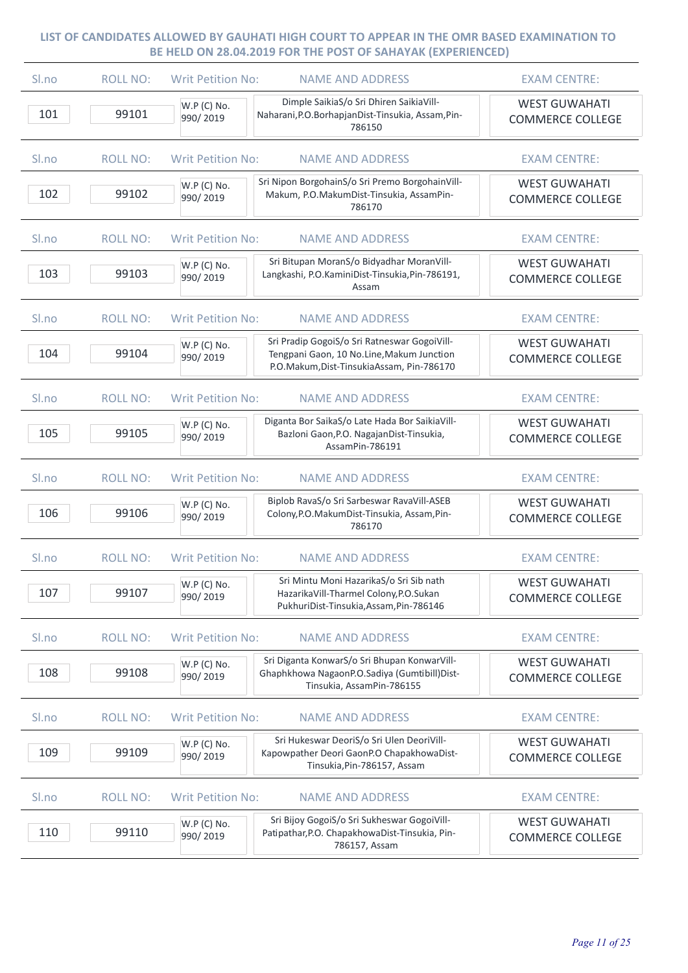| Sl.no | <b>ROLL NO:</b> | <b>Writ Petition No:</b><br><b>NAME AND ADDRESS</b>                                                                                                               | <b>EXAM CENTRE:</b>                             |
|-------|-----------------|-------------------------------------------------------------------------------------------------------------------------------------------------------------------|-------------------------------------------------|
| 101   | 99101           | Dimple SaikiaS/o Sri Dhiren SaikiaVill-<br>W.P (C) No.<br>Naharani, P.O. Borhapjan Dist-Tinsukia, Assam, Pin-<br>990/2019<br>786150                               | <b>WEST GUWAHATI</b><br><b>COMMERCE COLLEGE</b> |
| Sl.no | <b>ROLL NO:</b> | <b>Writ Petition No:</b><br><b>NAME AND ADDRESS</b>                                                                                                               | <b>EXAM CENTRE:</b>                             |
| 102   | 99102           | Sri Nipon BorgohainS/o Sri Premo BorgohainVill-<br>W.P (C) No.<br>Makum, P.O.MakumDist-Tinsukia, AssamPin-<br>990/2019<br>786170                                  | <b>WEST GUWAHATI</b><br><b>COMMERCE COLLEGE</b> |
| Sl.no | <b>ROLL NO:</b> | <b>Writ Petition No:</b><br><b>NAME AND ADDRESS</b>                                                                                                               | <b>EXAM CENTRE:</b>                             |
| 103   | 99103           | Sri Bitupan MoranS/o Bidyadhar MoranVill-<br>W.P (C) No.<br>Langkashi, P.O.KaminiDist-Tinsukia, Pin-786191,<br>990/2019<br>Assam                                  | <b>WEST GUWAHATI</b><br><b>COMMERCE COLLEGE</b> |
| Sl.no | <b>ROLL NO:</b> | <b>Writ Petition No:</b><br><b>NAME AND ADDRESS</b>                                                                                                               | <b>EXAM CENTRE:</b>                             |
| 104   | 99104           | Sri Pradip GogoiS/o Sri Ratneswar GogoiVill-<br>W.P (C) No.<br>Tengpani Gaon, 10 No.Line, Makum Junction<br>990/2019<br>P.O.Makum, Dist-TinsukiaAssam, Pin-786170 | <b>WEST GUWAHATI</b><br><b>COMMERCE COLLEGE</b> |
| Sl.no | <b>ROLL NO:</b> | <b>Writ Petition No:</b><br><b>NAME AND ADDRESS</b>                                                                                                               | <b>EXAM CENTRE:</b>                             |
| 105   | 99105           | Diganta Bor SaikaS/o Late Hada Bor SaikiaVill-<br>W.P (C) No.<br>Bazloni Gaon, P.O. Nagajan Dist-Tinsukia,<br>990/2019<br>AssamPin-786191                         | <b>WEST GUWAHATI</b><br><b>COMMERCE COLLEGE</b> |
| Sl.no | <b>ROLL NO:</b> | <b>Writ Petition No:</b><br><b>NAME AND ADDRESS</b>                                                                                                               | <b>EXAM CENTRE:</b>                             |
| 106   | 99106           | Biplob RavaS/o Sri Sarbeswar RavaVill-ASEB<br>W.P (C) No.<br>Colony, P.O. Makum Dist-Tinsukia, Assam, Pin-<br>990/2019<br>786170                                  | <b>WEST GUWAHATI</b><br><b>COMMERCE COLLEGE</b> |
| Sl.no | <b>ROLL NO:</b> | <b>Writ Petition No:</b><br><b>NAME AND ADDRESS</b>                                                                                                               | <b>EXAM CENTRE:</b>                             |
| 107   | 99107           | Sri Mintu Moni HazarikaS/o Sri Sib nath<br>W.P (C) No.<br>HazarikaVill-Tharmel Colony, P.O. Sukan<br>990/2019<br>PukhuriDist-Tinsukia, Assam, Pin-786146          | <b>WEST GUWAHATI</b><br><b>COMMERCE COLLEGE</b> |
| Sl.no | <b>ROLL NO:</b> | <b>Writ Petition No:</b><br><b>NAME AND ADDRESS</b>                                                                                                               | <b>EXAM CENTRE:</b>                             |
| 108   | 99108           | Sri Diganta KonwarS/o Sri Bhupan KonwarVill-<br>W.P (C) No.<br>Ghaphkhowa NagaonP.O.Sadiya (Gumtibill)Dist-<br>990/2019<br>Tinsukia, AssamPin-786155              | <b>WEST GUWAHATI</b><br><b>COMMERCE COLLEGE</b> |
| Sl.no | <b>ROLL NO:</b> | <b>Writ Petition No:</b><br><b>NAME AND ADDRESS</b>                                                                                                               | <b>EXAM CENTRE:</b>                             |
| 109   | 99109           | Sri Hukeswar DeoriS/o Sri Ulen DeoriVill-<br>W.P (C) No.<br>Kapowpather Deori GaonP.O ChapakhowaDist-<br>990/2019<br>Tinsukia, Pin-786157, Assam                  | <b>WEST GUWAHATI</b><br><b>COMMERCE COLLEGE</b> |
| Sl.no | <b>ROLL NO:</b> | <b>Writ Petition No:</b><br><b>NAME AND ADDRESS</b>                                                                                                               | <b>EXAM CENTRE:</b>                             |
| 110   | 99110           | Sri Bijoy GogoiS/o Sri Sukheswar GogoiVill-<br>W.P (C) No.<br>Patipathar, P.O. ChapakhowaDist-Tinsukia, Pin-<br>990/2019<br>786157, Assam                         | <b>WEST GUWAHATI</b><br><b>COMMERCE COLLEGE</b> |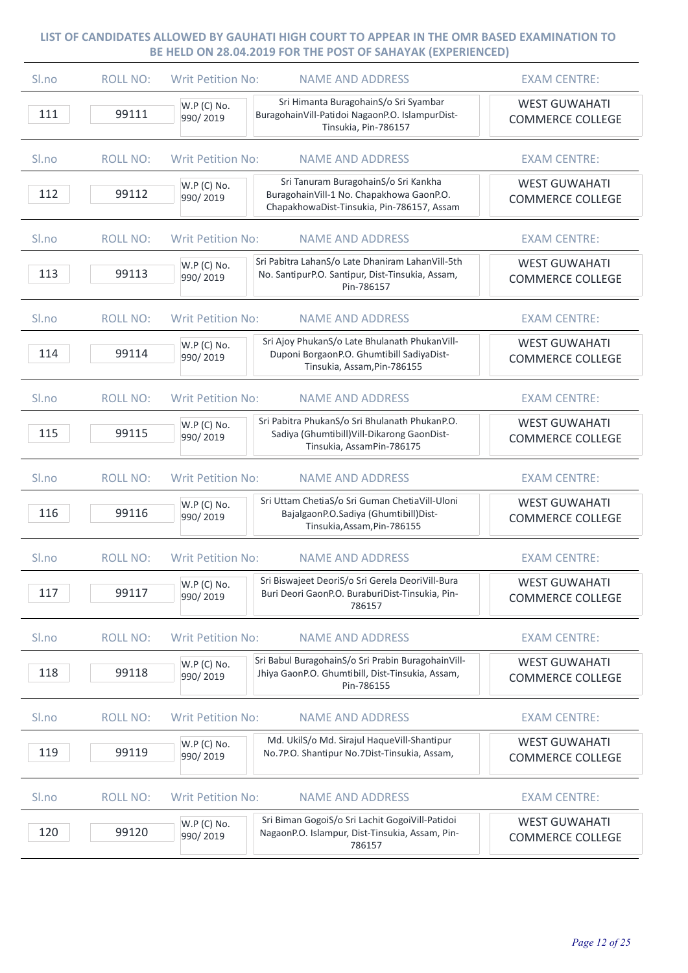| Sl.no            | <b>ROLL NO:</b> | <b>Writ Petition No:</b> | <b>NAME AND ADDRESS</b>                                                                                                        | <b>EXAM CENTRE:</b>                             |
|------------------|-----------------|--------------------------|--------------------------------------------------------------------------------------------------------------------------------|-------------------------------------------------|
| 111              | 99111           | W.P (C) No.<br>990/2019  | Sri Himanta BuragohainS/o Sri Syambar<br>BuragohainVill-Patidoi NagaonP.O. IslampurDist-<br>Tinsukia, Pin-786157               | <b>WEST GUWAHATI</b><br><b>COMMERCE COLLEGE</b> |
| Sl.no            | <b>ROLL NO:</b> | <b>Writ Petition No:</b> | <b>NAME AND ADDRESS</b>                                                                                                        | <b>EXAM CENTRE:</b>                             |
| 112              | 99112           | W.P (C) No.<br>990/2019  | Sri Tanuram BuragohainS/o Sri Kankha<br>BuragohainVill-1 No. Chapakhowa GaonP.O.<br>ChapakhowaDist-Tinsukia, Pin-786157, Assam | <b>WEST GUWAHATI</b><br><b>COMMERCE COLLEGE</b> |
| S <sub>ln0</sub> | <b>ROLL NO:</b> | <b>Writ Petition No:</b> | <b>NAME AND ADDRESS</b>                                                                                                        | <b>EXAM CENTRE:</b>                             |
| 113              | 99113           | W.P (C) No.<br>990/2019  | Sri Pabitra LahanS/o Late Dhaniram LahanVill-5th<br>No. SantipurP.O. Santipur, Dist-Tinsukia, Assam,<br>Pin-786157             | <b>WEST GUWAHATI</b><br><b>COMMERCE COLLEGE</b> |
| S <sub>lno</sub> | <b>ROLL NO:</b> | <b>Writ Petition No:</b> | <b>NAME AND ADDRESS</b>                                                                                                        | <b>EXAM CENTRE:</b>                             |
| 114              | 99114           | W.P (C) No.<br>990/2019  | Sri Ajoy PhukanS/o Late Bhulanath PhukanVill-<br>Duponi BorgaonP.O. Ghumtibill SadiyaDist-<br>Tinsukia, Assam, Pin-786155      | <b>WEST GUWAHATI</b><br><b>COMMERCE COLLEGE</b> |
| S <sub>ln0</sub> | <b>ROLL NO:</b> | <b>Writ Petition No:</b> | <b>NAME AND ADDRESS</b>                                                                                                        | <b>EXAM CENTRE:</b>                             |
| 115              | 99115           | W.P (C) No.<br>990/2019  | Sri Pabitra PhukanS/o Sri Bhulanath PhukanP.O.<br>Sadiya (Ghumtibill) Vill-Dikarong GaonDist-<br>Tinsukia, AssamPin-786175     | <b>WEST GUWAHATI</b><br><b>COMMERCE COLLEGE</b> |
| Sl.no            | <b>ROLL NO:</b> | <b>Writ Petition No:</b> | <b>NAME AND ADDRESS</b>                                                                                                        | <b>EXAM CENTRE:</b>                             |
| 116              | 99116           | W.P (C) No.<br>990/2019  | Sri Uttam ChetiaS/o Sri Guman ChetiaVill-Uloni<br>BajalgaonP.O.Sadiya (Ghumtibill)Dist-<br>Tinsukia, Assam, Pin-786155         | <b>WEST GUWAHATI</b><br><b>COMMERCE COLLEGE</b> |
| Sl.no            | <b>ROLL NO:</b> | <b>Writ Petition No:</b> | <b>NAME AND ADDRESS</b>                                                                                                        | <b>EXAM CENTRE:</b>                             |
| 117              | 99117           | W.P (C) No.<br>990/2019  | Sri Biswajeet DeoriS/o Sri Gerela DeoriVill-Bura<br>Buri Deori GaonP.O. BuraburiDist-Tinsukia, Pin-<br>786157                  | <b>WEST GUWAHATI</b><br><b>COMMERCE COLLEGE</b> |
| Sl.no            | <b>ROLL NO:</b> | <b>Writ Petition No:</b> | <b>NAME AND ADDRESS</b>                                                                                                        | <b>EXAM CENTRE:</b>                             |
| 118              | 99118           | W.P (C) No.<br>990/2019  | Sri Babul BuragohainS/o Sri Prabin BuragohainVill-<br>Jhiya GaonP.O. Ghumtibill, Dist-Tinsukia, Assam,<br>Pin-786155           | <b>WEST GUWAHATI</b><br><b>COMMERCE COLLEGE</b> |
| Sl.no            | <b>ROLL NO:</b> | <b>Writ Petition No:</b> | <b>NAME AND ADDRESS</b>                                                                                                        | <b>EXAM CENTRE:</b>                             |
| 119              | 99119           | W.P (C) No.<br>990/2019  | Md. UkilS/o Md. Sirajul HaqueVill-Shantipur<br>No.7P.O. Shantipur No.7Dist-Tinsukia, Assam,                                    | <b>WEST GUWAHATI</b><br><b>COMMERCE COLLEGE</b> |
| Sl.no            | <b>ROLL NO:</b> | <b>Writ Petition No:</b> | <b>NAME AND ADDRESS</b>                                                                                                        | <b>EXAM CENTRE:</b>                             |
| 120              | 99120           | W.P (C) No.<br>990/2019  | Sri Biman GogoiS/o Sri Lachit GogoiVill-Patidoi<br>NagaonP.O. Islampur, Dist-Tinsukia, Assam, Pin-<br>786157                   | <b>WEST GUWAHATI</b><br><b>COMMERCE COLLEGE</b> |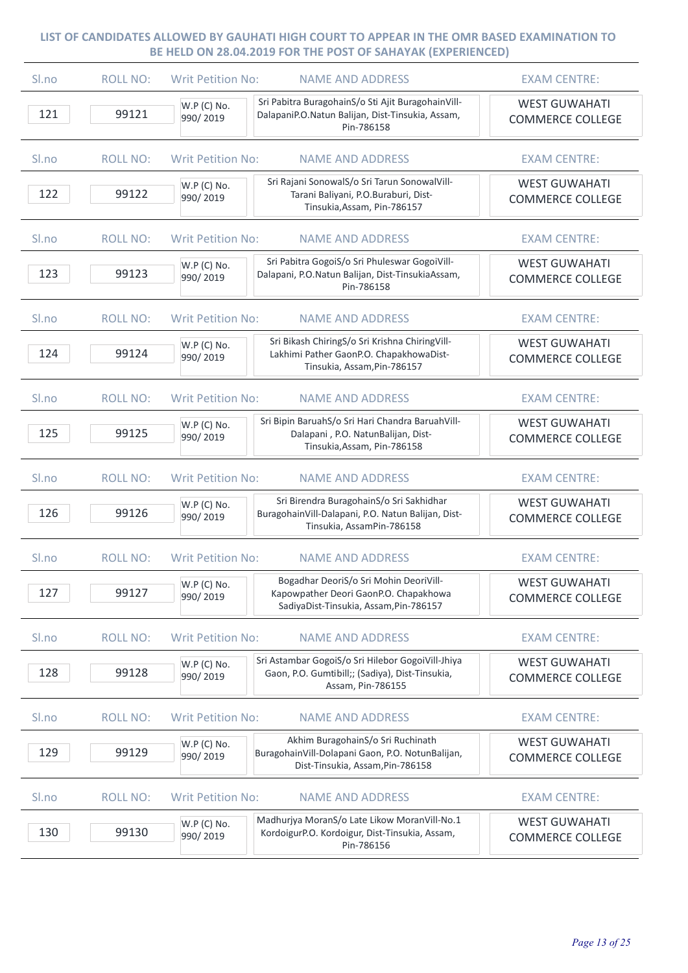| Sl.no | <b>ROLL NO:</b> | <b>Writ Petition No:</b><br><b>NAME AND ADDRESS</b>                                                                                                    | <b>EXAM CENTRE:</b>                             |
|-------|-----------------|--------------------------------------------------------------------------------------------------------------------------------------------------------|-------------------------------------------------|
| 121   | 99121           | Sri Pabitra BuragohainS/o Sti Ajit BuragohainVill-<br>W.P (C) No.<br>DalapaniP.O.Natun Balijan, Dist-Tinsukia, Assam,<br>990/2019<br>Pin-786158        | <b>WEST GUWAHATI</b><br><b>COMMERCE COLLEGE</b> |
| Sl.no | <b>ROLL NO:</b> | <b>Writ Petition No:</b><br><b>NAME AND ADDRESS</b>                                                                                                    | <b>EXAM CENTRE:</b>                             |
| 122   | 99122           | Sri Rajani SonowalS/o Sri Tarun SonowalVill-<br>W.P (C) No.<br>Tarani Baliyani, P.O.Buraburi, Dist-<br>990/2019<br>Tinsukia, Assam, Pin-786157         | <b>WEST GUWAHATI</b><br><b>COMMERCE COLLEGE</b> |
| Sl.no | <b>ROLL NO:</b> | <b>Writ Petition No:</b><br><b>NAME AND ADDRESS</b>                                                                                                    | <b>EXAM CENTRE:</b>                             |
| 123   | 99123           | Sri Pabitra GogoiS/o Sri Phuleswar GogoiVill-<br>W.P (C) No.<br>Dalapani, P.O.Natun Balijan, Dist-TinsukiaAssam,<br>990/2019<br>Pin-786158             | <b>WEST GUWAHATI</b><br><b>COMMERCE COLLEGE</b> |
| Sl.no | <b>ROLL NO:</b> | <b>Writ Petition No:</b><br><b>NAME AND ADDRESS</b>                                                                                                    | <b>EXAM CENTRE:</b>                             |
| 124   | 99124           | Sri Bikash ChiringS/o Sri Krishna ChiringVill-<br>W.P (C) No.<br>Lakhimi Pather GaonP.O. ChapakhowaDist-<br>990/2019<br>Tinsukia, Assam, Pin-786157    | <b>WEST GUWAHATI</b><br><b>COMMERCE COLLEGE</b> |
| Sl.no | <b>ROLL NO:</b> | <b>Writ Petition No:</b><br><b>NAME AND ADDRESS</b>                                                                                                    | <b>EXAM CENTRE:</b>                             |
| 125   | 99125           | Sri Bipin BaruahS/o Sri Hari Chandra BaruahVill-<br>W.P (C) No.<br>Dalapani, P.O. NatunBalijan, Dist-<br>990/2019<br>Tinsukia, Assam, Pin-786158       | <b>WEST GUWAHATI</b><br><b>COMMERCE COLLEGE</b> |
| Sl.no | <b>ROLL NO:</b> | <b>Writ Petition No:</b><br><b>NAME AND ADDRESS</b>                                                                                                    | <b>EXAM CENTRE:</b>                             |
| 126   | 99126           | Sri Birendra BuragohainS/o Sri Sakhidhar<br>W.P (C) No.<br>BuragohainVill-Dalapani, P.O. Natun Balijan, Dist-<br>990/2019<br>Tinsukia, AssamPin-786158 | <b>WEST GUWAHATI</b><br><b>COMMERCE COLLEGE</b> |
| Sl.no | <b>ROLL NO:</b> | <b>Writ Petition No:</b><br><b>NAME AND ADDRESS</b>                                                                                                    | <b>EXAM CENTRE:</b>                             |
| 127   | 99127           | Bogadhar DeoriS/o Sri Mohin DeoriVill-<br>W.P (C) No.<br>Kapowpather Deori GaonP.O. Chapakhowa<br>990/2019<br>SadiyaDist-Tinsukia, Assam, Pin-786157   | <b>WEST GUWAHATI</b><br><b>COMMERCE COLLEGE</b> |
| Sl.no | <b>ROLL NO:</b> | <b>Writ Petition No:</b><br><b>NAME AND ADDRESS</b>                                                                                                    | <b>EXAM CENTRE:</b>                             |
| 128   | 99128           | Sri Astambar GogoiS/o Sri Hilebor GogoiVill-Jhiya<br>W.P (C) No.<br>Gaon, P.O. Gumtibill;; (Sadiya), Dist-Tinsukia,<br>990/2019<br>Assam, Pin-786155   | <b>WEST GUWAHATI</b><br><b>COMMERCE COLLEGE</b> |
| Sl.no | <b>ROLL NO:</b> | <b>Writ Petition No:</b><br><b>NAME AND ADDRESS</b>                                                                                                    | <b>EXAM CENTRE:</b>                             |
| 129   | 99129           | Akhim BuragohainS/o Sri Ruchinath<br>W.P (C) No.<br>BuragohainVill-Dolapani Gaon, P.O. NotunBalijan,<br>990/2019<br>Dist-Tinsukia, Assam, Pin-786158   | <b>WEST GUWAHATI</b><br><b>COMMERCE COLLEGE</b> |
| Sl.no | <b>ROLL NO:</b> | <b>NAME AND ADDRESS</b><br><b>Writ Petition No:</b>                                                                                                    | <b>EXAM CENTRE:</b>                             |
| 130   | 99130           | Madhurjya MoranS/o Late Likow MoranVill-No.1<br>W.P (C) No.<br>KordoigurP.O. Kordoigur, Dist-Tinsukia, Assam,<br>990/2019<br>Pin-786156                | <b>WEST GUWAHATI</b><br><b>COMMERCE COLLEGE</b> |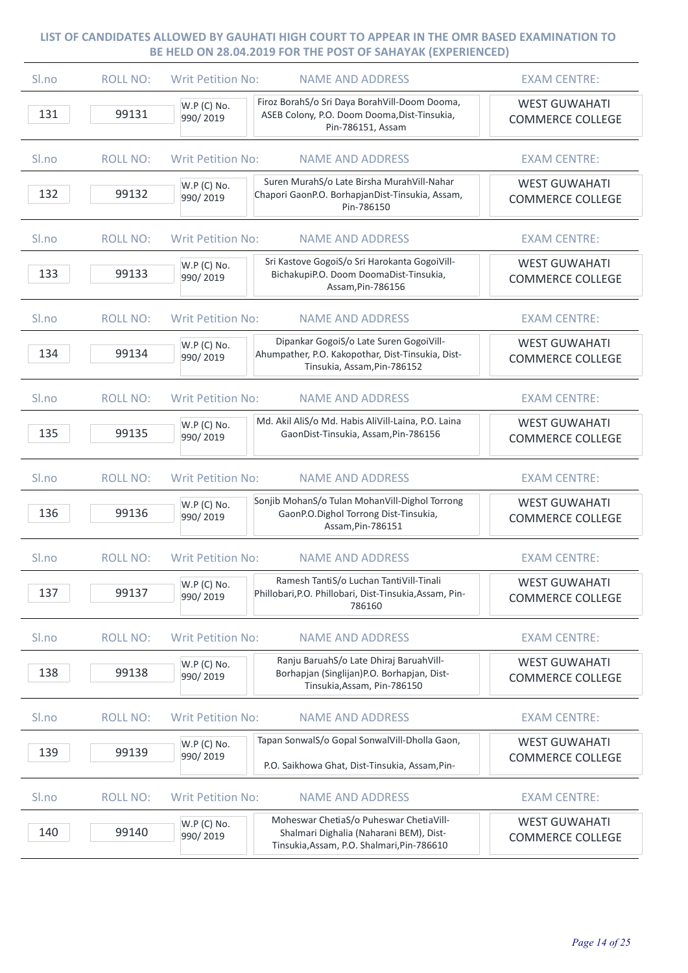| Sl.no            | <b>ROLL NO:</b> | <b>Writ Petition No:</b> | <b>NAME AND ADDRESS</b>                                                                                                          | <b>EXAM CENTRE:</b>                             |
|------------------|-----------------|--------------------------|----------------------------------------------------------------------------------------------------------------------------------|-------------------------------------------------|
| 131              | 99131           | W.P (C) No.<br>990/2019  | Firoz BorahS/o Sri Daya BorahVill-Doom Dooma,<br>ASEB Colony, P.O. Doom Dooma, Dist-Tinsukia,<br>Pin-786151, Assam               | <b>WEST GUWAHATI</b><br><b>COMMERCE COLLEGE</b> |
| Sl.no            | <b>ROLL NO:</b> | <b>Writ Petition No:</b> | <b>NAME AND ADDRESS</b>                                                                                                          | <b>EXAM CENTRE:</b>                             |
| 132              | 99132           | W.P (C) No.<br>990/2019  | Suren MurahS/o Late Birsha MurahVill-Nahar<br>Chapori GaonP.O. BorhapjanDist-Tinsukia, Assam,<br>Pin-786150                      | <b>WEST GUWAHATI</b><br><b>COMMERCE COLLEGE</b> |
| Sl.no            | <b>ROLL NO:</b> | <b>Writ Petition No:</b> | <b>NAME AND ADDRESS</b>                                                                                                          | <b>EXAM CENTRE:</b>                             |
| 133              | 99133           | W.P (C) No.<br>990/2019  | Sri Kastove GogoiS/o Sri Harokanta GogoiVill-<br>BichakupiP.O. Doom DoomaDist-Tinsukia,<br>Assam, Pin-786156                     | <b>WEST GUWAHATI</b><br><b>COMMERCE COLLEGE</b> |
| Sl.no            | <b>ROLL NO:</b> | <b>Writ Petition No:</b> | <b>NAME AND ADDRESS</b>                                                                                                          | <b>EXAM CENTRE:</b>                             |
| 134              | 99134           | W.P (C) No.<br>990/2019  | Dipankar GogoiS/o Late Suren GogoiVill-<br>Ahumpather, P.O. Kakopothar, Dist-Tinsukia, Dist-<br>Tinsukia, Assam, Pin-786152      | <b>WEST GUWAHATI</b><br><b>COMMERCE COLLEGE</b> |
| S <sub>lno</sub> | <b>ROLL NO:</b> | <b>Writ Petition No:</b> | <b>NAME AND ADDRESS</b>                                                                                                          | <b>EXAM CENTRE:</b>                             |
| 135              | 99135           | W.P (C) No.<br>990/2019  | Md. Akil AliS/o Md. Habis AliVill-Laina, P.O. Laina<br>GaonDist-Tinsukia, Assam, Pin-786156                                      | <b>WEST GUWAHATI</b><br><b>COMMERCE COLLEGE</b> |
| Sl.no            | <b>ROLL NO:</b> | <b>Writ Petition No:</b> | <b>NAME AND ADDRESS</b>                                                                                                          | <b>EXAM CENTRE:</b>                             |
| 136              | 99136           | W.P (C) No.<br>990/2019  | Sonjib MohanS/o Tulan MohanVill-Dighol Torrong<br>GaonP.O.Dighol Torrong Dist-Tinsukia,<br>Assam, Pin-786151                     | <b>WEST GUWAHATI</b><br><b>COMMERCE COLLEGE</b> |
| Sl.no            | <b>ROLL NO:</b> | <b>Writ Petition No:</b> | <b>NAME AND ADDRESS</b>                                                                                                          | <b>EXAM CENTRE:</b>                             |
| 137              | 99137           | W.P (C) No.<br>990/2019  | Ramesh TantiS/o Luchan TantiVill-Tinali<br>Phillobari, P.O. Phillobari, Dist-Tinsukia, Assam, Pin-<br>786160                     | <b>WEST GUWAHATI</b><br><b>COMMERCE COLLEGE</b> |
| Sl.no            | <b>ROLL NO:</b> | <b>Writ Petition No:</b> | <b>NAME AND ADDRESS</b>                                                                                                          | <b>EXAM CENTRE:</b>                             |
| 138              | 99138           | W.P (C) No.<br>990/2019  | Ranju BaruahS/o Late Dhiraj BaruahVill-<br>Borhapjan (Singlijan)P.O. Borhapjan, Dist-<br>Tinsukia, Assam, Pin-786150             | <b>WEST GUWAHATI</b><br><b>COMMERCE COLLEGE</b> |
| Sl.no            | <b>ROLL NO:</b> | <b>Writ Petition No:</b> | <b>NAME AND ADDRESS</b>                                                                                                          | <b>EXAM CENTRE:</b>                             |
| 139              | 99139           | W.P (C) No.<br>990/2019  | Tapan SonwalS/o Gopal SonwalVill-Dholla Gaon,<br>P.O. Saikhowa Ghat, Dist-Tinsukia, Assam, Pin-                                  | <b>WEST GUWAHATI</b><br><b>COMMERCE COLLEGE</b> |
| Sl.no            | <b>ROLL NO:</b> | <b>Writ Petition No:</b> | <b>NAME AND ADDRESS</b>                                                                                                          | <b>EXAM CENTRE:</b>                             |
| 140              | 99140           | W.P (C) No.<br>990/2019  | Moheswar ChetiaS/o Puheswar ChetiaVill-<br>Shalmari Dighalia (Naharani BEM), Dist-<br>Tinsukia, Assam, P.O. Shalmari, Pin-786610 | <b>WEST GUWAHATI</b><br><b>COMMERCE COLLEGE</b> |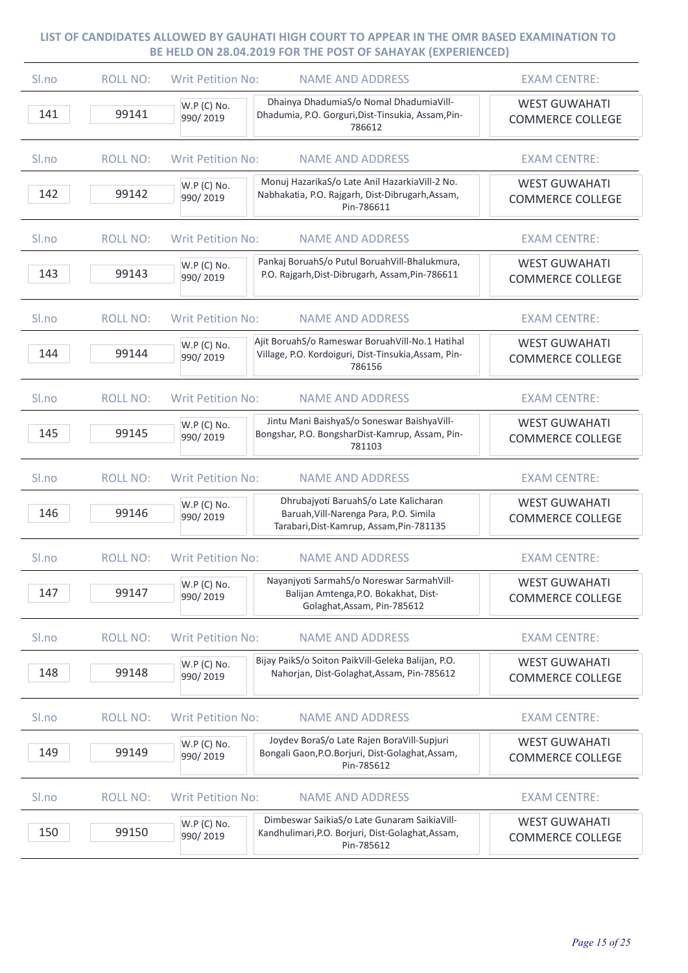| Sl.no | <b>ROLL NO:</b> | <b>Writ Petition No:</b> | <b>NAME AND ADDRESS</b>                                                                                                     | <b>EXAM CENTRE:</b>                             |
|-------|-----------------|--------------------------|-----------------------------------------------------------------------------------------------------------------------------|-------------------------------------------------|
| 141   | 99141           | W.P (C) No.<br>990/2019  | Dhainya DhadumiaS/o Nomal DhadumiaVill-<br>Dhadumia, P.O. Gorguri, Dist-Tinsukia, Assam, Pin-<br>786612                     | <b>WEST GUWAHATI</b><br><b>COMMERCE COLLEGE</b> |
| Sl.no | <b>ROLL NO:</b> | <b>Writ Petition No:</b> | <b>NAME AND ADDRESS</b>                                                                                                     | <b>EXAM CENTRE:</b>                             |
| 142   | 99142           | W.P (C) No.<br>990/2019  | Monuj HazarikaS/o Late Anil HazarkiaVill-2 No.<br>Nabhakatia, P.O. Rajgarh, Dist-Dibrugarh, Assam,<br>Pin-786611            | <b>WEST GUWAHATI</b><br><b>COMMERCE COLLEGE</b> |
| Sl.no | <b>ROLL NO:</b> | <b>Writ Petition No:</b> | <b>NAME AND ADDRESS</b>                                                                                                     | <b>EXAM CENTRE:</b>                             |
| 143   | 99143           | W.P (C) No.<br>990/2019  | Pankaj BoruahS/o Putul BoruahVill-Bhalukmura,<br>P.O. Rajgarh, Dist-Dibrugarh, Assam, Pin-786611                            | <b>WEST GUWAHATI</b><br><b>COMMERCE COLLEGE</b> |
| Sl.no | <b>ROLL NO:</b> | <b>Writ Petition No:</b> | <b>NAME AND ADDRESS</b>                                                                                                     | <b>EXAM CENTRE:</b>                             |
| 144   | 99144           | W.P (C) No.<br>990/2019  | Ajit BoruahS/o Rameswar BoruahVill-No.1 Hatihal<br>Village, P.O. Kordoiguri, Dist-Tinsukia, Assam, Pin-<br>786156           | <b>WEST GUWAHATI</b><br><b>COMMERCE COLLEGE</b> |
| Sl.no | <b>ROLL NO:</b> | <b>Writ Petition No:</b> | <b>NAME AND ADDRESS</b>                                                                                                     | <b>EXAM CENTRE:</b>                             |
| 145   | 99145           | W.P (C) No.<br>990/2019  | Jintu Mani BaishyaS/o Soneswar BaishyaVill-<br>Bongshar, P.O. BongsharDist-Kamrup, Assam, Pin-<br>781103                    | <b>WEST GUWAHATI</b><br><b>COMMERCE COLLEGE</b> |
| Sl.no | <b>ROLL NO:</b> | <b>Writ Petition No:</b> | <b>NAME AND ADDRESS</b>                                                                                                     | <b>EXAM CENTRE:</b>                             |
| 146   | 99146           | W.P (C) No.<br>990/2019  | Dhrubajyoti BaruahS/o Late Kalicharan<br>Baruah, Vill-Narenga Para, P.O. Simila<br>Tarabari, Dist-Kamrup, Assam, Pin-781135 | <b>WEST GUWAHATI</b><br><b>COMMERCE COLLEGE</b> |
| Sl.no | <b>ROLL NO:</b> | <b>Writ Petition No:</b> | <b>NAME AND ADDRESS</b>                                                                                                     | <b>EXAM CENTRE:</b>                             |
| 147   | 99147           | W.P (C) No.<br>990/2019  | Nayanjyoti SarmahS/o Noreswar SarmahVill-<br>Balijan Amtenga, P.O. Bokakhat, Dist-<br>Golaghat, Assam, Pin-785612           | <b>WEST GUWAHATI</b><br><b>COMMERCE COLLEGE</b> |
| Sl.no | <b>ROLL NO:</b> | <b>Writ Petition No:</b> | <b>NAME AND ADDRESS</b>                                                                                                     | <b>EXAM CENTRE:</b>                             |
| 148   | 99148           | W.P (C) No.<br>990/2019  | Bijay PaikS/o Soiton PaikVill-Geleka Balijan, P.O.<br>Nahorjan, Dist-Golaghat, Assam, Pin-785612                            | <b>WEST GUWAHATI</b><br><b>COMMERCE COLLEGE</b> |
| Sl.no | <b>ROLL NO:</b> | <b>Writ Petition No:</b> | <b>NAME AND ADDRESS</b>                                                                                                     | <b>EXAM CENTRE:</b>                             |
| 149   | 99149           | W.P (C) No.<br>990/2019  | Joydev BoraS/o Late Rajen BoraVill-Supjuri<br>Bongali Gaon, P.O.Borjuri, Dist-Golaghat, Assam,<br>Pin-785612                | <b>WEST GUWAHATI</b><br><b>COMMERCE COLLEGE</b> |
| Sl.no | <b>ROLL NO:</b> | <b>Writ Petition No:</b> | <b>NAME AND ADDRESS</b>                                                                                                     | <b>EXAM CENTRE:</b>                             |
| 150   | 99150           | W.P (C) No.<br>990/2019  | Dimbeswar SaikiaS/o Late Gunaram SaikiaVill-<br>Kandhulimari, P.O. Borjuri, Dist-Golaghat, Assam,<br>Pin-785612             | <b>WEST GUWAHATI</b><br><b>COMMERCE COLLEGE</b> |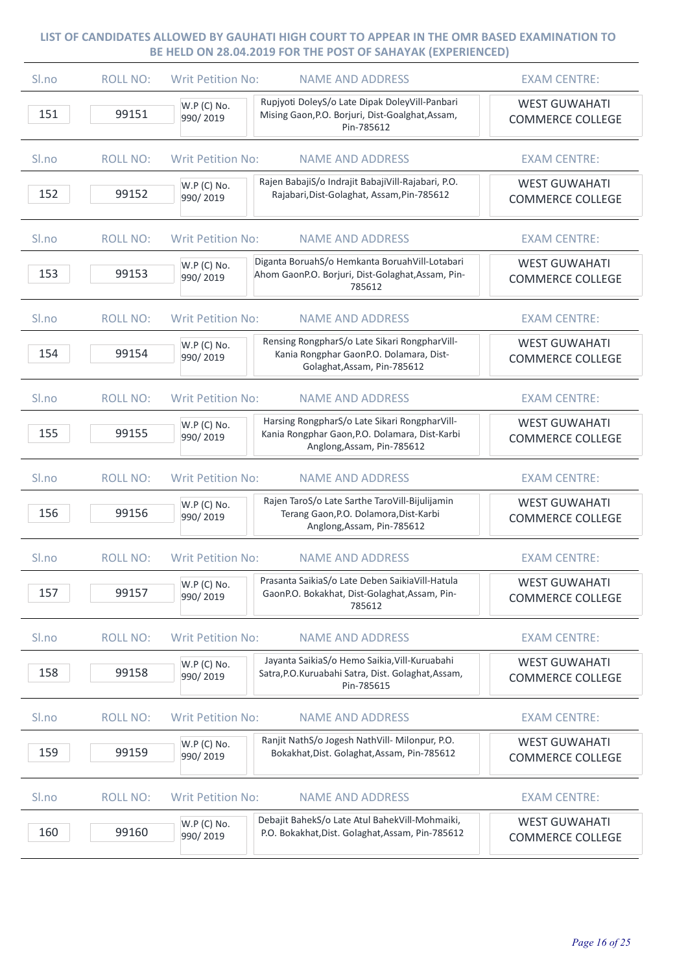| Sl.no | <b>ROLL NO:</b> | <b>Writ Petition No:</b><br><b>NAME AND ADDRESS</b>                                                                                                      | <b>EXAM CENTRE:</b>                             |
|-------|-----------------|----------------------------------------------------------------------------------------------------------------------------------------------------------|-------------------------------------------------|
| 151   | 99151           | Rupjyoti DoleyS/o Late Dipak DoleyVill-Panbari<br>W.P (C) No.<br>Mising Gaon, P.O. Borjuri, Dist-Goalghat, Assam,<br>990/2019<br>Pin-785612              | <b>WEST GUWAHATI</b><br><b>COMMERCE COLLEGE</b> |
| Sl.no | <b>ROLL NO:</b> | <b>Writ Petition No:</b><br><b>NAME AND ADDRESS</b>                                                                                                      | <b>EXAM CENTRE:</b>                             |
| 152   | 99152           | Rajen BabajiS/o Indrajit BabajiVill-Rajabari, P.O.<br>W.P (C) No.<br>Rajabari, Dist-Golaghat, Assam, Pin-785612<br>990/2019                              | <b>WEST GUWAHATI</b><br><b>COMMERCE COLLEGE</b> |
| Sl.no | <b>ROLL NO:</b> | <b>Writ Petition No:</b><br><b>NAME AND ADDRESS</b>                                                                                                      | <b>EXAM CENTRE:</b>                             |
| 153   | 99153           | Diganta BoruahS/o Hemkanta BoruahVill-Lotabari<br>W.P (C) No.<br>Ahom GaonP.O. Borjuri, Dist-Golaghat, Assam, Pin-<br>990/2019<br>785612                 | <b>WEST GUWAHATI</b><br><b>COMMERCE COLLEGE</b> |
| Sl.no | <b>ROLL NO:</b> | <b>Writ Petition No:</b><br><b>NAME AND ADDRESS</b>                                                                                                      | <b>EXAM CENTRE:</b>                             |
| 154   | 99154           | Rensing RongpharS/o Late Sikari RongpharVill-<br>W.P (C) No.<br>Kania Rongphar GaonP.O. Dolamara, Dist-<br>990/2019<br>Golaghat, Assam, Pin-785612       | <b>WEST GUWAHATI</b><br><b>COMMERCE COLLEGE</b> |
| Sl.no | <b>ROLL NO:</b> | <b>Writ Petition No:</b><br><b>NAME AND ADDRESS</b>                                                                                                      | <b>EXAM CENTRE:</b>                             |
| 155   | 99155           | Harsing RongpharS/o Late Sikari RongpharVill-<br>W.P (C) No.<br>Kania Rongphar Gaon, P.O. Dolamara, Dist-Karbi<br>990/2019<br>Anglong, Assam, Pin-785612 | <b>WEST GUWAHATI</b><br><b>COMMERCE COLLEGE</b> |
| Sl.no | <b>ROLL NO:</b> | <b>Writ Petition No:</b><br><b>NAME AND ADDRESS</b>                                                                                                      | <b>EXAM CENTRE:</b>                             |
| 156   | 99156           | Rajen TaroS/o Late Sarthe TaroVill-Bijulijamin<br>W.P (C) No.<br>Terang Gaon, P.O. Dolamora, Dist-Karbi<br>990/2019<br>Anglong, Assam, Pin-785612        | <b>WEST GUWAHATI</b><br><b>COMMERCE COLLEGE</b> |
| Sl.no | <b>ROLL NO:</b> | <b>Writ Petition No:</b><br><b>NAME AND ADDRESS</b>                                                                                                      | <b>EXAM CENTRE:</b>                             |
| 157   | 99157           | Prasanta SaikiaS/o Late Deben SaikiaVill-Hatula<br>W.P (C) No.<br>GaonP.O. Bokakhat, Dist-Golaghat, Assam, Pin-<br>990/2019<br>785612                    | <b>WEST GUWAHATI</b><br><b>COMMERCE COLLEGE</b> |
| Sl.no | <b>ROLL NO:</b> | <b>Writ Petition No:</b><br><b>NAME AND ADDRESS</b>                                                                                                      | <b>EXAM CENTRE:</b>                             |
| 158   | 99158           | Jayanta SaikiaS/o Hemo Saikia, Vill-Kuruabahi<br>W.P (C) No.<br>Satra, P.O. Kuruabahi Satra, Dist. Golaghat, Assam,<br>990/2019<br>Pin-785615            | <b>WEST GUWAHATI</b><br><b>COMMERCE COLLEGE</b> |
| Sl.no | <b>ROLL NO:</b> | <b>Writ Petition No:</b><br><b>NAME AND ADDRESS</b>                                                                                                      | <b>EXAM CENTRE:</b>                             |
| 159   | 99159           | Ranjit NathS/o Jogesh NathVill- Milonpur, P.O.<br>W.P (C) No.<br>Bokakhat, Dist. Golaghat, Assam, Pin-785612<br>990/2019                                 | <b>WEST GUWAHATI</b><br><b>COMMERCE COLLEGE</b> |
| Sl.no | <b>ROLL NO:</b> | <b>Writ Petition No:</b><br><b>NAME AND ADDRESS</b>                                                                                                      | <b>EXAM CENTRE:</b>                             |
| 160   | 99160           | Debajit BahekS/o Late Atul BahekVill-Mohmaiki,<br>W.P (C) No.<br>P.O. Bokakhat, Dist. Golaghat, Assam, Pin-785612<br>990/2019                            | <b>WEST GUWAHATI</b><br><b>COMMERCE COLLEGE</b> |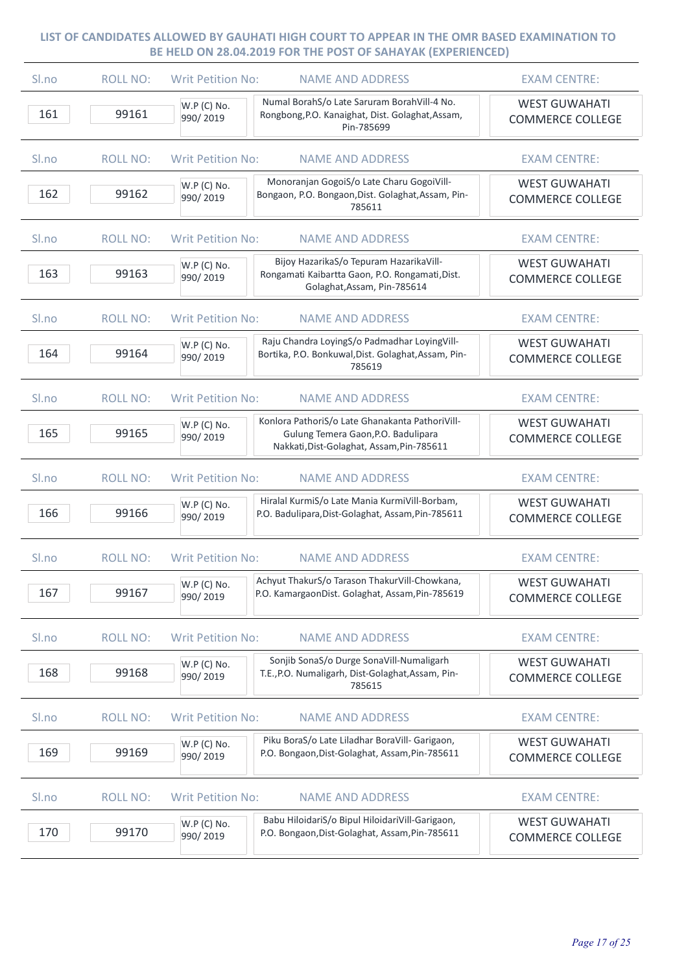| Sl.no | <b>ROLL NO:</b> | <b>Writ Petition No:</b><br><b>NAME AND ADDRESS</b>                                                                                                            | <b>EXAM CENTRE:</b>                             |
|-------|-----------------|----------------------------------------------------------------------------------------------------------------------------------------------------------------|-------------------------------------------------|
| 161   | 99161           | Numal BorahS/o Late Saruram BorahVill-4 No.<br>W.P (C) No.<br>Rongbong, P.O. Kanaighat, Dist. Golaghat, Assam,<br>990/2019<br>Pin-785699                       | <b>WEST GUWAHATI</b><br><b>COMMERCE COLLEGE</b> |
| Sl.no | <b>ROLL NO:</b> | <b>Writ Petition No:</b><br><b>NAME AND ADDRESS</b>                                                                                                            | <b>EXAM CENTRE:</b>                             |
| 162   | 99162           | Monoranjan GogoiS/o Late Charu GogoiVill-<br>W.P (C) No.<br>Bongaon, P.O. Bongaon, Dist. Golaghat, Assam, Pin-<br>990/2019<br>785611                           | <b>WEST GUWAHATI</b><br><b>COMMERCE COLLEGE</b> |
| Sl.no | <b>ROLL NO:</b> | <b>Writ Petition No:</b><br><b>NAME AND ADDRESS</b>                                                                                                            | <b>EXAM CENTRE:</b>                             |
| 163   | 99163           | Bijoy HazarikaS/o Tepuram HazarikaVill-<br>W.P (C) No.<br>Rongamati Kaibartta Gaon, P.O. Rongamati, Dist.<br>990/2019<br>Golaghat, Assam, Pin-785614           | <b>WEST GUWAHATI</b><br><b>COMMERCE COLLEGE</b> |
| Sl.no | <b>ROLL NO:</b> | <b>Writ Petition No:</b><br><b>NAME AND ADDRESS</b>                                                                                                            | <b>EXAM CENTRE:</b>                             |
| 164   | 99164           | Raju Chandra LoyingS/o Padmadhar LoyingVill-<br>W.P (C) No.<br>Bortika, P.O. Bonkuwal, Dist. Golaghat, Assam, Pin-<br>990/2019<br>785619                       | <b>WEST GUWAHATI</b><br><b>COMMERCE COLLEGE</b> |
| Sl.no | <b>ROLL NO:</b> | <b>Writ Petition No:</b><br><b>NAME AND ADDRESS</b>                                                                                                            | <b>EXAM CENTRE:</b>                             |
| 165   | 99165           | Konlora PathoriS/o Late Ghanakanta PathoriVill-<br>W.P (C) No.<br>Gulung Temera Gaon, P.O. Badulipara<br>990/2019<br>Nakkati, Dist-Golaghat, Assam, Pin-785611 | <b>WEST GUWAHATI</b><br><b>COMMERCE COLLEGE</b> |
| Sl.no | <b>ROLL NO:</b> | <b>Writ Petition No:</b><br><b>NAME AND ADDRESS</b>                                                                                                            | <b>EXAM CENTRE:</b>                             |
| 166   | 99166           | Hiralal KurmiS/o Late Mania KurmiVill-Borbam,<br>W.P (C) No.<br>P.O. Badulipara, Dist-Golaghat, Assam, Pin-785611<br>990/2019                                  | <b>WEST GUWAHATI</b><br><b>COMMERCE COLLEGE</b> |
| Sl.no | <b>ROLL NO:</b> | <b>Writ Petition No:</b><br><b>NAME AND ADDRESS</b>                                                                                                            | <b>EXAM CENTRE:</b>                             |
| 167   | 99167           | Achyut ThakurS/o Tarason ThakurVill-Chowkana,<br>W.P (C) No.<br>P.O. KamargaonDist. Golaghat, Assam, Pin-785619<br>990/2019                                    | <b>WEST GUWAHATI</b><br><b>COMMERCE COLLEGE</b> |
| Sl.no | <b>ROLL NO:</b> | <b>Writ Petition No:</b><br><b>NAME AND ADDRESS</b>                                                                                                            | <b>EXAM CENTRE:</b>                             |
| 168   | 99168           | Sonjib SonaS/o Durge SonaVill-Numaligarh<br>W.P (C) No.<br>T.E., P.O. Numaligarh, Dist-Golaghat, Assam, Pin-<br>990/2019<br>785615                             | <b>WEST GUWAHATI</b><br><b>COMMERCE COLLEGE</b> |
| Sl.no | <b>ROLL NO:</b> | <b>Writ Petition No:</b><br><b>NAME AND ADDRESS</b>                                                                                                            | <b>EXAM CENTRE:</b>                             |
| 169   | 99169           | Piku BoraS/o Late Liladhar BoraVill- Garigaon,<br>W.P (C) No.<br>P.O. Bongaon, Dist-Golaghat, Assam, Pin-785611<br>990/2019                                    | <b>WEST GUWAHATI</b><br><b>COMMERCE COLLEGE</b> |
| Sl.no | <b>ROLL NO:</b> | <b>Writ Petition No:</b><br><b>NAME AND ADDRESS</b>                                                                                                            | <b>EXAM CENTRE:</b>                             |
| 170   | 99170           | Babu HiloidariS/o Bipul HiloidariVill-Garigaon,<br>$W.P(C)$ No.<br>P.O. Bongaon, Dist-Golaghat, Assam, Pin-785611<br>990/2019                                  | <b>WEST GUWAHATI</b><br><b>COMMERCE COLLEGE</b> |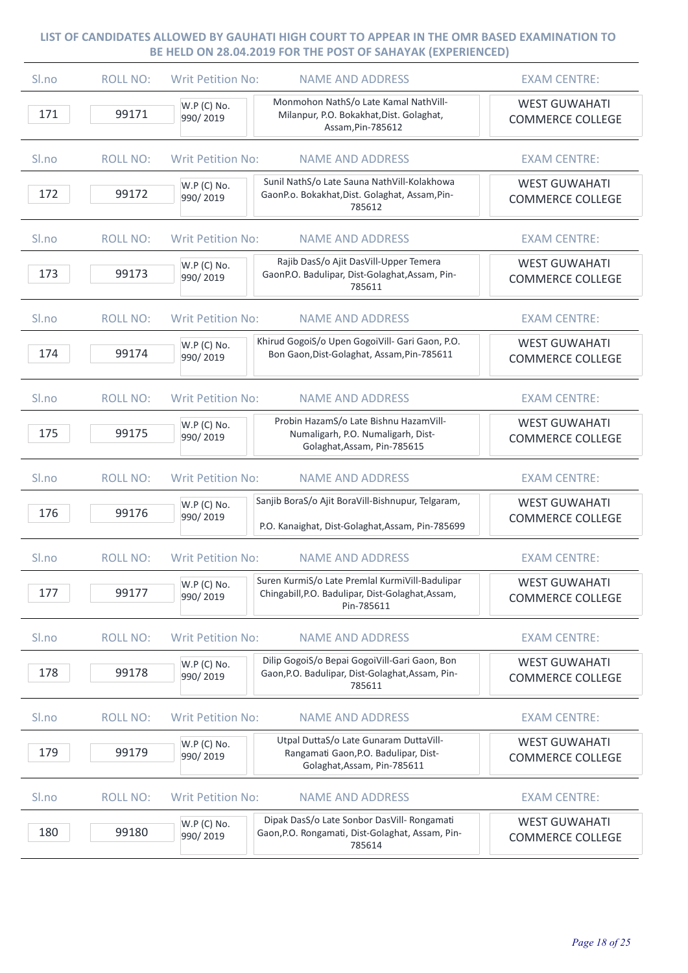| S <sub>lno</sub> | <b>ROLL NO:</b> | <b>Writ Petition No:</b> | <b>NAME AND ADDRESS</b>                                                                                            | <b>EXAM CENTRE:</b>                             |
|------------------|-----------------|--------------------------|--------------------------------------------------------------------------------------------------------------------|-------------------------------------------------|
| 171              | 99171           | W.P (C) No.<br>990/2019  | Monmohon NathS/o Late Kamal NathVill-<br>Milanpur, P.O. Bokakhat, Dist. Golaghat,<br>Assam, Pin-785612             | <b>WEST GUWAHATI</b><br><b>COMMERCE COLLEGE</b> |
| Sl.no            | <b>ROLL NO:</b> | <b>Writ Petition No:</b> | <b>NAME AND ADDRESS</b>                                                                                            | <b>EXAM CENTRE:</b>                             |
| 172              | 99172           | W.P (C) No.<br>990/2019  | Sunil NathS/o Late Sauna NathVill-Kolakhowa<br>GaonP.o. Bokakhat, Dist. Golaghat, Assam, Pin-<br>785612            | <b>WEST GUWAHATI</b><br><b>COMMERCE COLLEGE</b> |
| Sl.no            | <b>ROLL NO:</b> | <b>Writ Petition No:</b> | <b>NAME AND ADDRESS</b>                                                                                            | <b>EXAM CENTRE:</b>                             |
| 173              | 99173           | W.P (C) No.<br>990/2019  | Rajib DasS/o Ajit DasVill-Upper Temera<br>GaonP.O. Badulipar, Dist-Golaghat, Assam, Pin-<br>785611                 | <b>WEST GUWAHATI</b><br><b>COMMERCE COLLEGE</b> |
| Sl.no            | <b>ROLL NO:</b> | <b>Writ Petition No:</b> | <b>NAME AND ADDRESS</b>                                                                                            | <b>EXAM CENTRE:</b>                             |
| 174              | 99174           | W.P (C) No.<br>990/2019  | Khirud GogoiS/o Upen GogoiVill- Gari Gaon, P.O.<br>Bon Gaon, Dist-Golaghat, Assam, Pin-785611                      | <b>WEST GUWAHATI</b><br><b>COMMERCE COLLEGE</b> |
| Sl.no            | <b>ROLL NO:</b> | <b>Writ Petition No:</b> | <b>NAME AND ADDRESS</b>                                                                                            | <b>EXAM CENTRE:</b>                             |
| 175              | 99175           | W.P (C) No.<br>990/2019  | Probin HazamS/o Late Bishnu HazamVill-<br>Numaligarh, P.O. Numaligarh, Dist-<br>Golaghat, Assam, Pin-785615        | <b>WEST GUWAHATI</b><br><b>COMMERCE COLLEGE</b> |
| Sl.no            | <b>ROLL NO:</b> | <b>Writ Petition No:</b> | <b>NAME AND ADDRESS</b>                                                                                            | <b>EXAM CENTRE:</b>                             |
| 176              | 99176           | W.P (C) No.<br>990/2019  | Sanjib BoraS/o Ajit BoraVill-Bishnupur, Telgaram,<br>P.O. Kanaighat, Dist-Golaghat, Assam, Pin-785699              | <b>WEST GUWAHATI</b><br><b>COMMERCE COLLEGE</b> |
| Sl.no            | <b>ROLL NO:</b> | <b>Writ Petition No:</b> | <b>NAME AND ADDRESS</b>                                                                                            | <b>EXAM CENTRE:</b>                             |
| 177              | 99177           | W.P (C) No.<br>990/2019  | Suren KurmiS/o Late Premlal KurmiVill-Badulipar<br>Chingabill, P.O. Badulipar, Dist-Golaghat, Assam,<br>Pin-785611 | <b>WEST GUWAHATI</b><br><b>COMMERCE COLLEGE</b> |
| Sl.no            | <b>ROLL NO:</b> | <b>Writ Petition No:</b> | <b>NAME AND ADDRESS</b>                                                                                            | <b>EXAM CENTRE:</b>                             |
| 178              | 99178           | W.P (C) No.<br>990/2019  | Dilip GogoiS/o Bepai GogoiVill-Gari Gaon, Bon<br>Gaon, P.O. Badulipar, Dist-Golaghat, Assam, Pin-<br>785611        | <b>WEST GUWAHATI</b><br><b>COMMERCE COLLEGE</b> |
| Sl.no            | <b>ROLL NO:</b> | <b>Writ Petition No:</b> | <b>NAME AND ADDRESS</b>                                                                                            | <b>EXAM CENTRE:</b>                             |
| 179              | 99179           | W.P (C) No.<br>990/2019  | Utpal DuttaS/o Late Gunaram DuttaVill-<br>Rangamati Gaon, P.O. Badulipar, Dist-<br>Golaghat, Assam, Pin-785611     | <b>WEST GUWAHATI</b><br><b>COMMERCE COLLEGE</b> |
| Sl.no            | <b>ROLL NO:</b> | <b>Writ Petition No:</b> | <b>NAME AND ADDRESS</b>                                                                                            | <b>EXAM CENTRE:</b>                             |
| 180              | 99180           | W.P (C) No.<br>990/2019  | Dipak DasS/o Late Sonbor DasVill- Rongamati<br>Gaon, P.O. Rongamati, Dist-Golaghat, Assam, Pin-<br>785614          | <b>WEST GUWAHATI</b><br><b>COMMERCE COLLEGE</b> |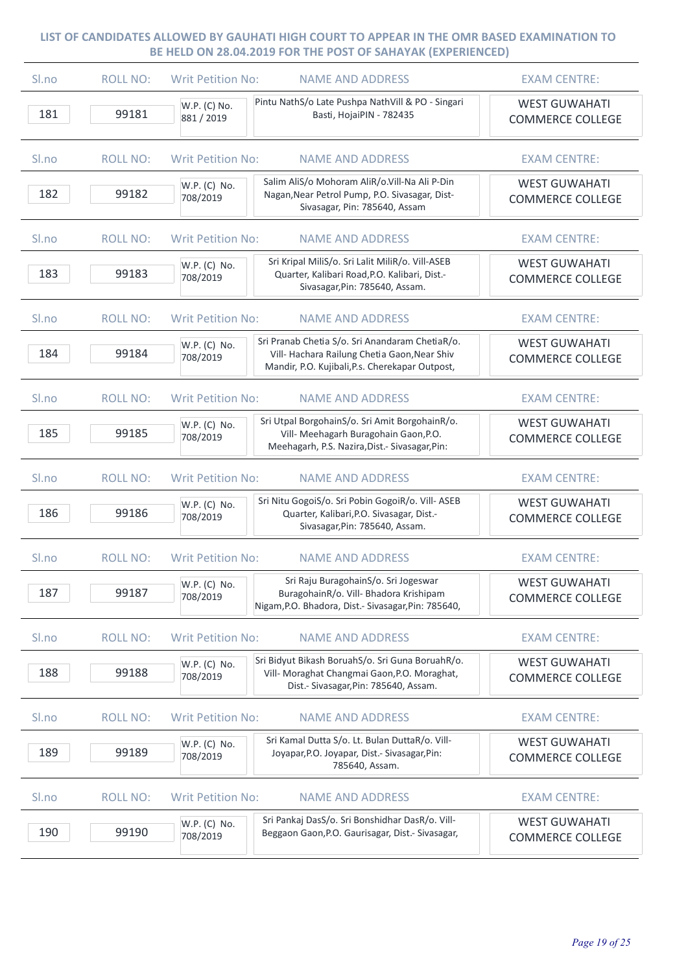| Sl.no            | <b>ROLL NO:</b> | <b>Writ Petition No:</b>   | <b>NAME AND ADDRESS</b>                                                                                                                            | <b>EXAM CENTRE:</b>                             |
|------------------|-----------------|----------------------------|----------------------------------------------------------------------------------------------------------------------------------------------------|-------------------------------------------------|
| 181              | 99181           | W.P. (C) No.<br>881 / 2019 | Pintu NathS/o Late Pushpa NathVill & PO - Singari<br>Basti, HojaiPIN - 782435                                                                      | <b>WEST GUWAHATI</b><br><b>COMMERCE COLLEGE</b> |
| Sl.no            | <b>ROLL NO:</b> | <b>Writ Petition No:</b>   | <b>NAME AND ADDRESS</b>                                                                                                                            | <b>EXAM CENTRE:</b>                             |
| 182              | 99182           | W.P. (C) No.<br>708/2019   | Salim AliS/o Mohoram AliR/o.Vill-Na Ali P-Din<br>Nagan, Near Petrol Pump, P.O. Sivasagar, Dist-<br>Sivasagar, Pin: 785640, Assam                   | <b>WEST GUWAHATI</b><br><b>COMMERCE COLLEGE</b> |
| Sl.no            | <b>ROLL NO:</b> | <b>Writ Petition No:</b>   | <b>NAME AND ADDRESS</b>                                                                                                                            | <b>EXAM CENTRE:</b>                             |
| 183              | 99183           | W.P. (C) No.<br>708/2019   | Sri Kripal MiliS/o. Sri Lalit MiliR/o. Vill-ASEB<br>Quarter, Kalibari Road, P.O. Kalibari, Dist.-<br>Sivasagar, Pin: 785640, Assam.                | <b>WEST GUWAHATI</b><br><b>COMMERCE COLLEGE</b> |
| Sl.no            | <b>ROLL NO:</b> | <b>Writ Petition No:</b>   | <b>NAME AND ADDRESS</b>                                                                                                                            | <b>EXAM CENTRE:</b>                             |
| 184              | 99184           | W.P. (C) No.<br>708/2019   | Sri Pranab Chetia S/o. Sri Anandaram ChetiaR/o.<br>Vill- Hachara Railung Chetia Gaon, Near Shiv<br>Mandir, P.O. Kujibali, P.s. Cherekapar Outpost, | <b>WEST GUWAHATI</b><br><b>COMMERCE COLLEGE</b> |
| S <sub>ln0</sub> | <b>ROLL NO:</b> | <b>Writ Petition No:</b>   | <b>NAME AND ADDRESS</b>                                                                                                                            | <b>EXAM CENTRE:</b>                             |
| 185              | 99185           | W.P. (C) No.<br>708/2019   | Sri Utpal BorgohainS/o. Sri Amit BorgohainR/o.<br>Vill- Meehagarh Buragohain Gaon, P.O.<br>Meehagarh, P.S. Nazira, Dist.- Sivasagar, Pin:          | <b>WEST GUWAHATI</b><br><b>COMMERCE COLLEGE</b> |
| Sl.no            | <b>ROLL NO:</b> | <b>Writ Petition No:</b>   | <b>NAME AND ADDRESS</b>                                                                                                                            | <b>EXAM CENTRE:</b>                             |
| 186              | 99186           | W.P. (C) No.<br>708/2019   | Sri Nitu GogoiS/o. Sri Pobin GogoiR/o. Vill- ASEB<br>Quarter, Kalibari, P.O. Sivasagar, Dist.-<br>Sivasagar, Pin: 785640, Assam.                   | <b>WEST GUWAHATI</b><br><b>COMMERCE COLLEGE</b> |
| Sl.no            | <b>ROLL NO:</b> | <b>Writ Petition No:</b>   | <b>NAME AND ADDRESS</b>                                                                                                                            | <b>EXAM CENTRE:</b>                             |
| 187              | 99187           | W.P. (C) No.<br>708/2019   | Sri Raju BuragohainS/o. Sri Jogeswar<br>BuragohainR/o. Vill- Bhadora Krishipam<br>Nigam, P.O. Bhadora, Dist.- Sivasagar, Pin: 785640,              | <b>WEST GUWAHATI</b><br><b>COMMERCE COLLEGE</b> |
| Sl.no            | <b>ROLL NO:</b> | <b>Writ Petition No:</b>   | <b>NAME AND ADDRESS</b>                                                                                                                            | <b>EXAM CENTRE:</b>                             |
| 188              | 99188           | W.P. (C) No.<br>708/2019   | Sri Bidyut Bikash BoruahS/o. Sri Guna BoruahR/o.<br>Vill- Moraghat Changmai Gaon, P.O. Moraghat,<br>Dist.- Sivasagar, Pin: 785640, Assam.          | <b>WEST GUWAHATI</b><br><b>COMMERCE COLLEGE</b> |
| Sl.no            | <b>ROLL NO:</b> | <b>Writ Petition No:</b>   | <b>NAME AND ADDRESS</b>                                                                                                                            | <b>EXAM CENTRE:</b>                             |
| 189              | 99189           | W.P. (C) No.<br>708/2019   | Sri Kamal Dutta S/o. Lt. Bulan DuttaR/o. Vill-<br>Joyapar, P.O. Joyapar, Dist.- Sivasagar, Pin:<br>785640, Assam.                                  | <b>WEST GUWAHATI</b><br><b>COMMERCE COLLEGE</b> |
| Sl.no            | <b>ROLL NO:</b> | <b>Writ Petition No:</b>   | <b>NAME AND ADDRESS</b>                                                                                                                            | <b>EXAM CENTRE:</b>                             |
| 190              | 99190           | W.P. (C) No.<br>708/2019   | Sri Pankaj DasS/o. Sri Bonshidhar DasR/o. Vill-<br>Beggaon Gaon, P.O. Gaurisagar, Dist.- Sivasagar,                                                | <b>WEST GUWAHATI</b><br><b>COMMERCE COLLEGE</b> |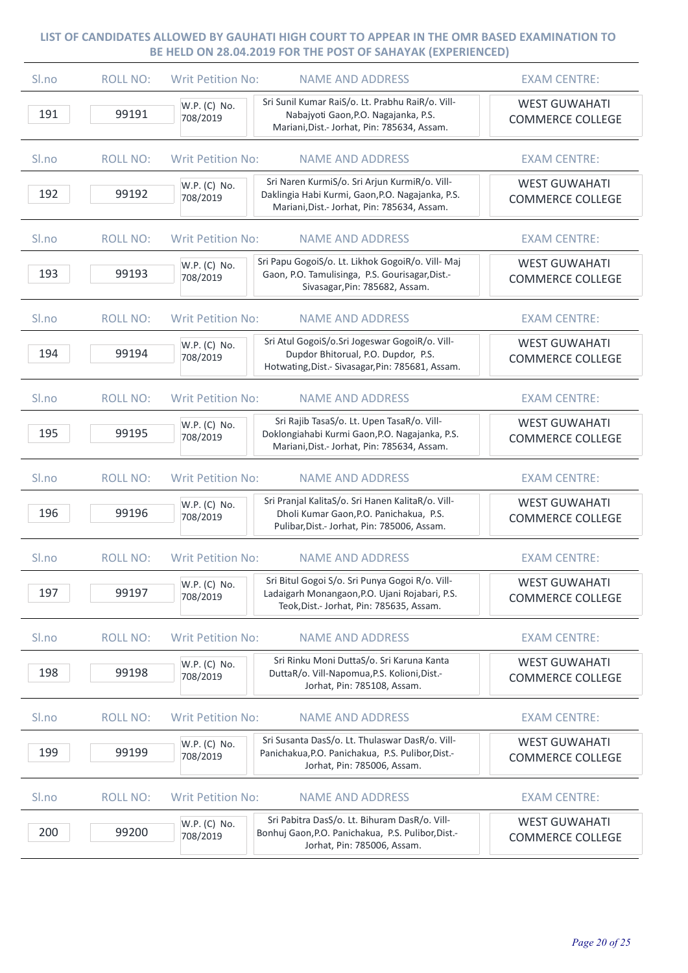| Sl.no            | <b>ROLL NO:</b> | <b>Writ Petition No:</b> | <b>NAME AND ADDRESS</b>                                                                                                                          | <b>EXAM CENTRE:</b>                             |
|------------------|-----------------|--------------------------|--------------------------------------------------------------------------------------------------------------------------------------------------|-------------------------------------------------|
| 191              | 99191           | W.P. (C) No.<br>708/2019 | Sri Sunil Kumar RaiS/o. Lt. Prabhu RaiR/o. Vill-<br>Nabajyoti Gaon, P.O. Nagajanka, P.S.<br>Mariani, Dist.- Jorhat, Pin: 785634, Assam.          | <b>WEST GUWAHATI</b><br><b>COMMERCE COLLEGE</b> |
| Sl.no            | <b>ROLL NO:</b> | <b>Writ Petition No:</b> | <b>NAME AND ADDRESS</b>                                                                                                                          | <b>EXAM CENTRE:</b>                             |
| 192              | 99192           | W.P. (C) No.<br>708/2019 | Sri Naren KurmiS/o. Sri Arjun KurmiR/o. Vill-<br>Daklingia Habi Kurmi, Gaon, P.O. Nagajanka, P.S.<br>Mariani, Dist.- Jorhat, Pin: 785634, Assam. | <b>WEST GUWAHATI</b><br><b>COMMERCE COLLEGE</b> |
| Sl.no            | <b>ROLL NO:</b> | <b>Writ Petition No:</b> | <b>NAME AND ADDRESS</b>                                                                                                                          | <b>EXAM CENTRE:</b>                             |
| 193              | 99193           | W.P. (C) No.<br>708/2019 | Sri Papu GogoiS/o. Lt. Likhok GogoiR/o. Vill- Maj<br>Gaon, P.O. Tamulisinga, P.S. Gourisagar, Dist.-<br>Sivasagar, Pin: 785682, Assam.           | <b>WEST GUWAHATI</b><br><b>COMMERCE COLLEGE</b> |
| Sl.no            | <b>ROLL NO:</b> | <b>Writ Petition No:</b> | <b>NAME AND ADDRESS</b>                                                                                                                          | <b>EXAM CENTRE:</b>                             |
| 194              | 99194           | W.P. (C) No.<br>708/2019 | Sri Atul GogoiS/o.Sri Jogeswar GogoiR/o. Vill-<br>Dupdor Bhitorual, P.O. Dupdor, P.S.<br>Hotwating, Dist.- Sivasagar, Pin: 785681, Assam.        | <b>WEST GUWAHATI</b><br><b>COMMERCE COLLEGE</b> |
| S <sub>lno</sub> | <b>ROLL NO:</b> | <b>Writ Petition No:</b> | <b>NAME AND ADDRESS</b>                                                                                                                          | <b>EXAM CENTRE:</b>                             |
| 195              | 99195           | W.P. (C) No.<br>708/2019 | Sri Rajib TasaS/o. Lt. Upen TasaR/o. Vill-<br>Doklongiahabi Kurmi Gaon, P.O. Nagajanka, P.S.<br>Mariani, Dist.- Jorhat, Pin: 785634, Assam.      | <b>WEST GUWAHATI</b><br><b>COMMERCE COLLEGE</b> |
| Sl.no            | <b>ROLL NO:</b> | <b>Writ Petition No:</b> | <b>NAME AND ADDRESS</b>                                                                                                                          | <b>EXAM CENTRE:</b>                             |
| 196              | 99196           | W.P. (C) No.<br>708/2019 | Sri Pranjal KalitaS/o. Sri Hanen KalitaR/o. Vill-<br>Dholi Kumar Gaon, P.O. Panichakua, P.S.<br>Pulibar, Dist.- Jorhat, Pin: 785006, Assam.      | <b>WEST GUWAHATI</b><br><b>COMMERCE COLLEGE</b> |
| Sl.no            | <b>ROLL NO:</b> | <b>Writ Petition No:</b> | <b>NAME AND ADDRESS</b>                                                                                                                          | <b>EXAM CENTRE:</b>                             |
| 197              | 99197           | W.P. (C) No.<br>708/2019 | Sri Bitul Gogoi S/o. Sri Punya Gogoi R/o. Vill-<br>Ladaigarh Monangaon, P.O. Ujani Rojabari, P.S.<br>Teok, Dist.- Jorhat, Pin: 785635, Assam.    | <b>WEST GUWAHATI</b><br><b>COMMERCE COLLEGE</b> |
| Sl.no            | <b>ROLL NO:</b> | <b>Writ Petition No:</b> | <b>NAME AND ADDRESS</b>                                                                                                                          | <b>EXAM CENTRE:</b>                             |
| 198              | 99198           | W.P. (C) No.<br>708/2019 | Sri Rinku Moni DuttaS/o. Sri Karuna Kanta<br>DuttaR/o. Vill-Napomua, P.S. Kolioni, Dist.-<br>Jorhat, Pin: 785108, Assam.                         | <b>WEST GUWAHATI</b><br><b>COMMERCE COLLEGE</b> |
| Sl.no            | <b>ROLL NO:</b> | <b>Writ Petition No:</b> | <b>NAME AND ADDRESS</b>                                                                                                                          | <b>EXAM CENTRE:</b>                             |
| 199              | 99199           | W.P. (C) No.<br>708/2019 | Sri Susanta DasS/o. Lt. Thulaswar DasR/o. Vill-<br>Panichakua, P.O. Panichakua, P.S. Pulibor, Dist.-<br>Jorhat, Pin: 785006, Assam.              | <b>WEST GUWAHATI</b><br><b>COMMERCE COLLEGE</b> |
| Sl.no            | <b>ROLL NO:</b> | <b>Writ Petition No:</b> | <b>NAME AND ADDRESS</b>                                                                                                                          | <b>EXAM CENTRE:</b>                             |
| 200              | 99200           | W.P. (C) No.<br>708/2019 | Sri Pabitra DasS/o. Lt. Bihuram DasR/o. Vill-<br>Bonhuj Gaon, P.O. Panichakua, P.S. Pulibor, Dist.-<br>Jorhat, Pin: 785006, Assam.               | <b>WEST GUWAHATI</b><br><b>COMMERCE COLLEGE</b> |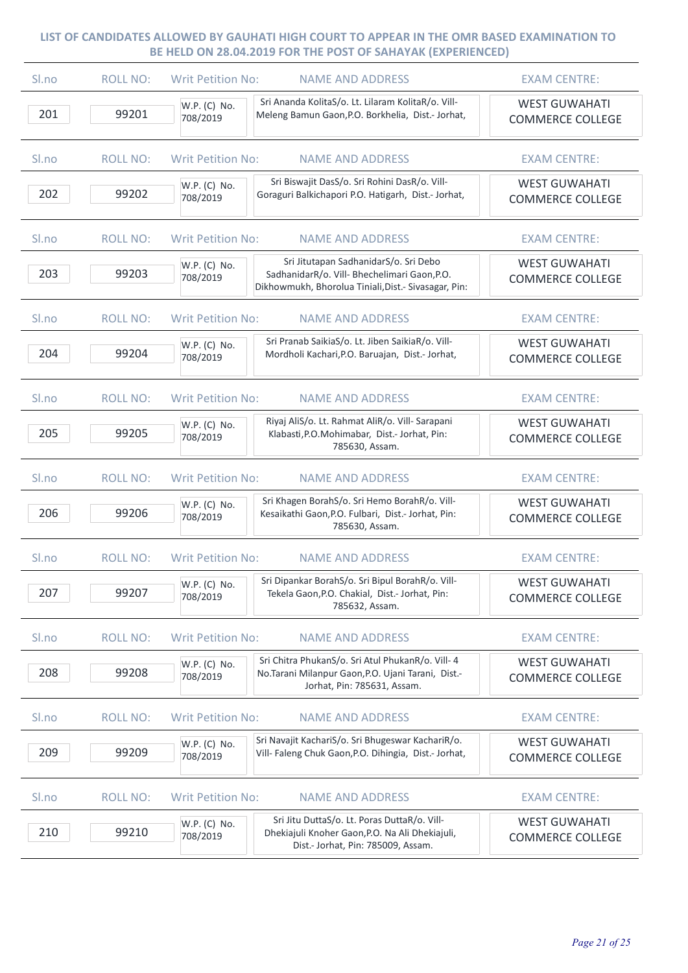| Sl.no            | <b>ROLL NO:</b> | Writ Petition No:<br><b>NAME AND ADDRESS</b>                                                                                                                              | <b>EXAM CENTRE:</b>                             |
|------------------|-----------------|---------------------------------------------------------------------------------------------------------------------------------------------------------------------------|-------------------------------------------------|
| 201              | 99201           | Sri Ananda KolitaS/o. Lt. Lilaram KolitaR/o. Vill-<br>W.P. (C) No.<br>Meleng Bamun Gaon, P.O. Borkhelia, Dist.- Jorhat,<br>708/2019                                       | <b>WEST GUWAHATI</b><br><b>COMMERCE COLLEGE</b> |
| Sl.no            | <b>ROLL NO:</b> | <b>Writ Petition No:</b><br><b>NAME AND ADDRESS</b>                                                                                                                       | <b>EXAM CENTRE:</b>                             |
| 202              | 99202           | Sri Biswajit DasS/o. Sri Rohini DasR/o. Vill-<br>W.P. (C) No.<br>Goraguri Balkichapori P.O. Hatigarh, Dist.- Jorhat,<br>708/2019                                          | <b>WEST GUWAHATI</b><br><b>COMMERCE COLLEGE</b> |
| Sl.no            | <b>ROLL NO:</b> | <b>Writ Petition No:</b><br><b>NAME AND ADDRESS</b>                                                                                                                       | <b>EXAM CENTRE:</b>                             |
| 203              | 99203           | Sri Jitutapan SadhanidarS/o. Sri Debo<br>W.P. (C) No.<br>SadhanidarR/o. Vill- Bhechelimari Gaon, P.O.<br>708/2019<br>Dikhowmukh, Bhorolua Tiniali, Dist.- Sivasagar, Pin: | <b>WEST GUWAHATI</b><br><b>COMMERCE COLLEGE</b> |
| Sl.no            | <b>ROLL NO:</b> | <b>Writ Petition No:</b><br><b>NAME AND ADDRESS</b>                                                                                                                       | <b>EXAM CENTRE:</b>                             |
| 204              | 99204           | Sri Pranab SaikiaS/o. Lt. Jiben SaikiaR/o. Vill-<br>W.P. (C) No.<br>Mordholi Kachari, P.O. Baruajan, Dist.- Jorhat,<br>708/2019                                           | <b>WEST GUWAHATI</b><br><b>COMMERCE COLLEGE</b> |
| S <sub>lno</sub> | <b>ROLL NO:</b> | <b>Writ Petition No:</b><br><b>NAME AND ADDRESS</b>                                                                                                                       | <b>EXAM CENTRE:</b>                             |
| 205              | 99205           | Riyaj AliS/o. Lt. Rahmat AliR/o. Vill- Sarapani<br>W.P. (C) No.<br>Klabasti, P.O. Mohimabar, Dist.- Jorhat, Pin:<br>708/2019<br>785630, Assam.                            | <b>WEST GUWAHATI</b><br><b>COMMERCE COLLEGE</b> |
| Sl.no            | <b>ROLL NO:</b> | <b>Writ Petition No:</b><br><b>NAME AND ADDRESS</b>                                                                                                                       | <b>EXAM CENTRE:</b>                             |
| 206              | 99206           | Sri Khagen BorahS/o. Sri Hemo BorahR/o. Vill-<br>W.P. (C) No.<br>Kesaikathi Gaon, P.O. Fulbari, Dist.- Jorhat, Pin:<br>708/2019<br>785630, Assam.                         | <b>WEST GUWAHATI</b><br><b>COMMERCE COLLEGE</b> |
| Sl.no            | <b>ROLL NO:</b> | <b>Writ Petition No:</b><br><b>NAME AND ADDRESS</b>                                                                                                                       | <b>EXAM CENTRE:</b>                             |
| 207              | 99207           | Sri Dipankar BorahS/o. Sri Bipul BorahR/o. Vill-<br>W.P. (C) No.<br>Tekela Gaon, P.O. Chakial, Dist.- Jorhat, Pin:<br>708/2019<br>785632, Assam.                          | <b>WEST GUWAHATI</b><br><b>COMMERCE COLLEGE</b> |
| Sl.no            | <b>ROLL NO:</b> | <b>Writ Petition No:</b><br><b>NAME AND ADDRESS</b>                                                                                                                       | <b>EXAM CENTRE:</b>                             |
| 208              | 99208           | Sri Chitra PhukanS/o. Sri Atul PhukanR/o. Vill- 4<br>W.P. (C) No.<br>No.Tarani Milanpur Gaon, P.O. Ujani Tarani, Dist.-<br>708/2019<br>Jorhat, Pin: 785631, Assam.        | <b>WEST GUWAHATI</b><br><b>COMMERCE COLLEGE</b> |
| Sl.no            | <b>ROLL NO:</b> | <b>Writ Petition No:</b><br><b>NAME AND ADDRESS</b>                                                                                                                       | <b>EXAM CENTRE:</b>                             |
| 209              | 99209           | Sri Navajit KachariS/o. Sri Bhugeswar KachariR/o.<br>W.P. (C) No.<br>Vill- Faleng Chuk Gaon, P.O. Dihingia, Dist.- Jorhat,<br>708/2019                                    | <b>WEST GUWAHATI</b><br><b>COMMERCE COLLEGE</b> |
| Sl.no            | <b>ROLL NO:</b> | <b>Writ Petition No:</b><br><b>NAME AND ADDRESS</b>                                                                                                                       | <b>EXAM CENTRE:</b>                             |
| 210              | 99210           | Sri Jitu DuttaS/o. Lt. Poras DuttaR/o. Vill-<br>W.P. (C) No.<br>Dhekiajuli Knoher Gaon, P.O. Na Ali Dhekiajuli,<br>708/2019<br>Dist.- Jorhat, Pin: 785009, Assam.         | <b>WEST GUWAHATI</b><br><b>COMMERCE COLLEGE</b> |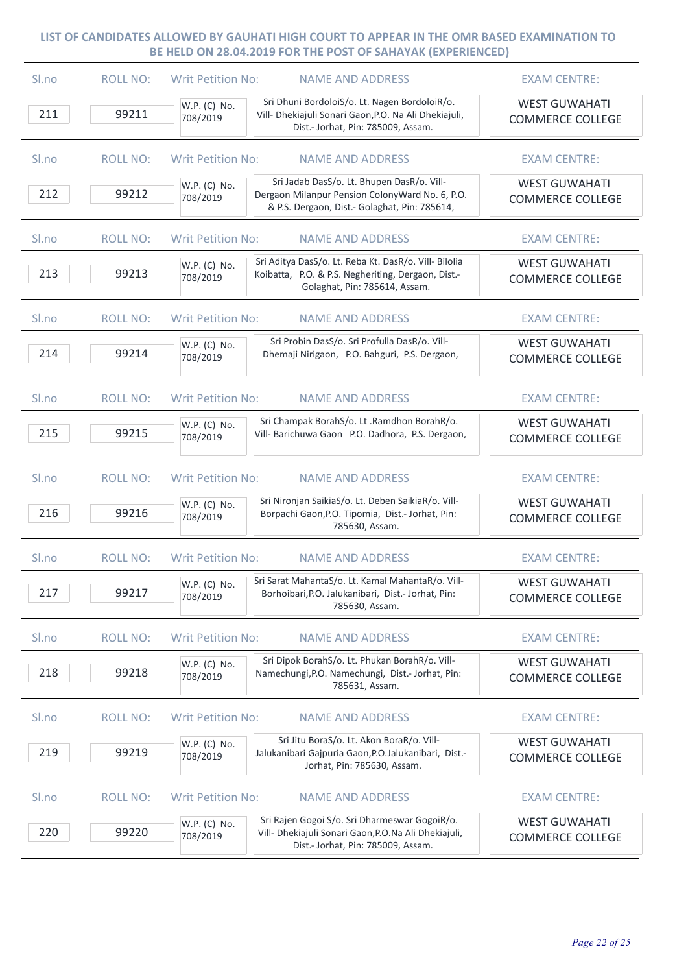| S <sub>lno</sub> | <b>ROLL NO:</b> | <b>Writ Petition No:</b><br><b>NAME AND ADDRESS</b>                                                                                                                        | <b>EXAM CENTRE:</b>                             |
|------------------|-----------------|----------------------------------------------------------------------------------------------------------------------------------------------------------------------------|-------------------------------------------------|
| 211              | 99211           | Sri Dhuni BordoloiS/o. Lt. Nagen BordoloiR/o.<br>W.P. (C) No.<br>Vill- Dhekiajuli Sonari Gaon, P.O. Na Ali Dhekiajuli,<br>708/2019<br>Dist.- Jorhat, Pin: 785009, Assam.   | <b>WEST GUWAHATI</b><br><b>COMMERCE COLLEGE</b> |
| Sl.no            | <b>ROLL NO:</b> | <b>Writ Petition No:</b><br><b>NAME AND ADDRESS</b>                                                                                                                        | <b>EXAM CENTRE:</b>                             |
| 212              | 99212           | Sri Jadab DasS/o. Lt. Bhupen DasR/o. Vill-<br>W.P. (C) No.<br>Dergaon Milanpur Pension ColonyWard No. 6, P.O.<br>708/2019<br>& P.S. Dergaon, Dist.- Golaghat, Pin: 785614, | <b>WEST GUWAHATI</b><br><b>COMMERCE COLLEGE</b> |
| Sl.no            | <b>ROLL NO:</b> | <b>Writ Petition No:</b><br><b>NAME AND ADDRESS</b>                                                                                                                        | <b>EXAM CENTRE:</b>                             |
| 213              | 99213           | Sri Aditya DasS/o. Lt. Reba Kt. DasR/o. Vill- Bilolia<br>W.P. (C) No.<br>Koibatta, P.O. & P.S. Negheriting, Dergaon, Dist.-<br>708/2019<br>Golaghat, Pin: 785614, Assam.   | <b>WEST GUWAHATI</b><br><b>COMMERCE COLLEGE</b> |
| Sl.no            | <b>ROLL NO:</b> | <b>Writ Petition No:</b><br><b>NAME AND ADDRESS</b>                                                                                                                        | <b>EXAM CENTRE:</b>                             |
| 214              | 99214           | Sri Probin DasS/o. Sri Profulla DasR/o. Vill-<br>W.P. (C) No.<br>Dhemaji Nirigaon, P.O. Bahguri, P.S. Dergaon,<br>708/2019                                                 | <b>WEST GUWAHATI</b><br><b>COMMERCE COLLEGE</b> |
| S <sub>lno</sub> | <b>ROLL NO:</b> | <b>Writ Petition No:</b><br><b>NAME AND ADDRESS</b>                                                                                                                        | <b>EXAM CENTRE:</b>                             |
| 215              | 99215           | Sri Champak BorahS/o. Lt .Ramdhon BorahR/o.<br>W.P. (C) No.<br>Vill- Barichuwa Gaon P.O. Dadhora, P.S. Dergaon,<br>708/2019                                                | <b>WEST GUWAHATI</b><br><b>COMMERCE COLLEGE</b> |
| Sl.no            | <b>ROLL NO:</b> | <b>Writ Petition No:</b><br><b>NAME AND ADDRESS</b>                                                                                                                        | <b>EXAM CENTRE:</b>                             |
| 216              | 99216           | Sri Nironjan SaikiaS/o. Lt. Deben SaikiaR/o. Vill-<br>W.P. (C) No.<br>Borpachi Gaon, P.O. Tipomia, Dist.- Jorhat, Pin:<br>708/2019<br>785630, Assam.                       | <b>WEST GUWAHATI</b><br><b>COMMERCE COLLEGE</b> |
| Sl.no            | <b>ROLL NO:</b> | <b>Writ Petition No:</b><br><b>NAME AND ADDRESS</b>                                                                                                                        | <b>EXAM CENTRE:</b>                             |
| 217              | 99217           | Sri Sarat MahantaS/o. Lt. Kamal MahantaR/o. Vill-<br>W.P. (C) No.<br>Borhoibari, P.O. Jalukanibari, Dist.- Jorhat, Pin:<br>708/2019<br>785630, Assam.                      | <b>WEST GUWAHATI</b><br><b>COMMERCE COLLEGE</b> |
| Sl.no            | <b>ROLL NO:</b> | <b>Writ Petition No:</b><br><b>NAME AND ADDRESS</b>                                                                                                                        | <b>EXAM CENTRE:</b>                             |
| 218              | 99218           | Sri Dipok BorahS/o. Lt. Phukan BorahR/o. Vill-<br>W.P. (C) No.<br>Namechungi, P.O. Namechungi, Dist.- Jorhat, Pin:<br>708/2019<br>785631, Assam.                           | <b>WEST GUWAHATI</b><br><b>COMMERCE COLLEGE</b> |
| Sl.no            | <b>ROLL NO:</b> | <b>Writ Petition No:</b><br><b>NAME AND ADDRESS</b>                                                                                                                        | <b>EXAM CENTRE:</b>                             |
| 219              | 99219           | Sri Jitu BoraS/o. Lt. Akon BoraR/o. Vill-<br>W.P. (C) No.<br>Jalukanibari Gajpuria Gaon, P.O. Jalukanibari, Dist.-<br>708/2019<br>Jorhat, Pin: 785630, Assam.              | <b>WEST GUWAHATI</b><br><b>COMMERCE COLLEGE</b> |
| Sl.no            | <b>ROLL NO:</b> | <b>Writ Petition No:</b><br><b>NAME AND ADDRESS</b>                                                                                                                        | <b>EXAM CENTRE:</b>                             |
| 220              | 99220           | Sri Rajen Gogoi S/o. Sri Dharmeswar GogoiR/o.<br>W.P. (C) No.<br>Vill- Dhekiajuli Sonari Gaon, P.O. Na Ali Dhekiajuli,<br>708/2019<br>Dist.- Jorhat, Pin: 785009, Assam.   | <b>WEST GUWAHATI</b><br><b>COMMERCE COLLEGE</b> |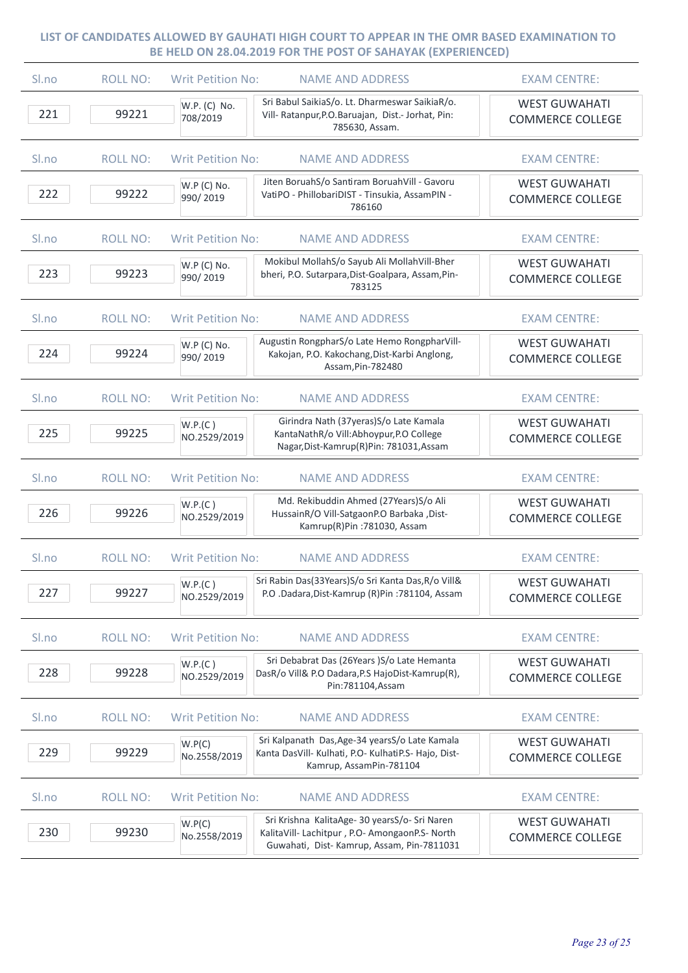| Sl.no            | <b>ROLL NO:</b> | <b>NAME AND ADDRESS</b><br>Writ Petition No:                                                                                                                           | <b>EXAM CENTRE:</b>                             |
|------------------|-----------------|------------------------------------------------------------------------------------------------------------------------------------------------------------------------|-------------------------------------------------|
| 221              | 99221           | Sri Babul SaikiaS/o. Lt. Dharmeswar SaikiaR/o.<br>W.P. (C) No.<br>Vill- Ratanpur, P.O. Baruajan, Dist.- Jorhat, Pin:<br>708/2019<br>785630, Assam.                     | <b>WEST GUWAHATI</b><br><b>COMMERCE COLLEGE</b> |
| Sl.no            | <b>ROLL NO:</b> | <b>Writ Petition No:</b><br><b>NAME AND ADDRESS</b>                                                                                                                    | <b>EXAM CENTRE:</b>                             |
| 222              | 99222           | Jiten BoruahS/o Santiram BoruahVill - Gavoru<br>W.P (C) No.<br>VatiPO - PhillobariDIST - Tinsukia, AssamPIN -<br>990/2019<br>786160                                    | <b>WEST GUWAHATI</b><br><b>COMMERCE COLLEGE</b> |
| Sl.no            | <b>ROLL NO:</b> | <b>Writ Petition No:</b><br><b>NAME AND ADDRESS</b>                                                                                                                    | <b>EXAM CENTRE:</b>                             |
| 223              | 99223           | Mokibul MollahS/o Sayub Ali MollahVill-Bher<br>W.P (C) No.<br>bheri, P.O. Sutarpara, Dist-Goalpara, Assam, Pin-<br>990/2019<br>783125                                  | <b>WEST GUWAHATI</b><br><b>COMMERCE COLLEGE</b> |
| Sl.no            | <b>ROLL NO:</b> | <b>Writ Petition No:</b><br><b>NAME AND ADDRESS</b>                                                                                                                    | <b>EXAM CENTRE:</b>                             |
| 224              | 99224           | Augustin RongpharS/o Late Hemo RongpharVill-<br>W.P (C) No.<br>Kakojan, P.O. Kakochang, Dist-Karbi Anglong,<br>990/2019<br>Assam, Pin-782480                           | <b>WEST GUWAHATI</b><br><b>COMMERCE COLLEGE</b> |
| S <sub>lno</sub> | <b>ROLL NO:</b> | <b>Writ Petition No:</b><br><b>NAME AND ADDRESS</b>                                                                                                                    | <b>EXAM CENTRE:</b>                             |
| 225              | 99225           | Girindra Nath (37yeras) S/o Late Kamala<br>W.P.(C)<br>KantaNathR/o Vill:Abhoypur,P.O College<br>NO.2529/2019<br>Nagar, Dist-Kamrup(R)Pin: 781031, Assam                | <b>WEST GUWAHATI</b><br><b>COMMERCE COLLEGE</b> |
| Sl.no            | <b>ROLL NO:</b> | <b>Writ Petition No:</b><br><b>NAME AND ADDRESS</b>                                                                                                                    | <b>EXAM CENTRE:</b>                             |
| 226              | 99226           | Md. Rekibuddin Ahmed (27Years)S/o Ali<br>W.P.(C)<br>HussainR/O Vill-SatgaonP.O Barbaka, Dist-<br>NO.2529/2019<br>Kamrup(R)Pin: 781030, Assam                           | <b>WEST GUWAHATI</b><br><b>COMMERCE COLLEGE</b> |
| Sl.no            | <b>ROLL NO:</b> | <b>Writ Petition No:</b><br><b>NAME AND ADDRESS</b>                                                                                                                    | <b>EXAM CENTRE:</b>                             |
| 227              | 99227           | Sri Rabin Das(33Years)S/o Sri Kanta Das, R/o Vill&<br>W.P.(C)<br>P.O .Dadara, Dist-Kamrup (R)Pin: 781104, Assam<br>NO.2529/2019                                        | <b>WEST GUWAHATI</b><br><b>COMMERCE COLLEGE</b> |
| Sl.no            | <b>ROLL NO:</b> | <b>Writ Petition No:</b><br><b>NAME AND ADDRESS</b>                                                                                                                    | <b>EXAM CENTRE:</b>                             |
| 228              | 99228           | Sri Debabrat Das (26Years )S/o Late Hemanta<br>W.P.(C)<br>DasR/o Vill& P.O Dadara, P.S HajoDist-Kamrup(R),<br>NO.2529/2019<br>Pin:781104, Assam                        | <b>WEST GUWAHATI</b><br><b>COMMERCE COLLEGE</b> |
| Sl.no            | <b>ROLL NO:</b> | <b>Writ Petition No:</b><br><b>NAME AND ADDRESS</b>                                                                                                                    | <b>EXAM CENTRE:</b>                             |
| 229              | 99229           | Sri Kalpanath Das, Age-34 years S/o Late Kamala<br>W.P(C)<br>Kanta DasVill- Kulhati, P.O- KulhatiP.S- Hajo, Dist-<br>No.2558/2019<br>Kamrup, AssamPin-781104           | <b>WEST GUWAHATI</b><br><b>COMMERCE COLLEGE</b> |
| Sl.no            | <b>ROLL NO:</b> | <b>Writ Petition No:</b><br><b>NAME AND ADDRESS</b>                                                                                                                    | <b>EXAM CENTRE:</b>                             |
| 230              | 99230           | Sri Krishna KalitaAge- 30 yearsS/o- Sri Naren<br>W.P(C)<br>KalitaVill- Lachitpur, P.O- AmongaonP.S- North<br>No.2558/2019<br>Guwahati, Dist-Kamrup, Assam, Pin-7811031 | <b>WEST GUWAHATI</b><br><b>COMMERCE COLLEGE</b> |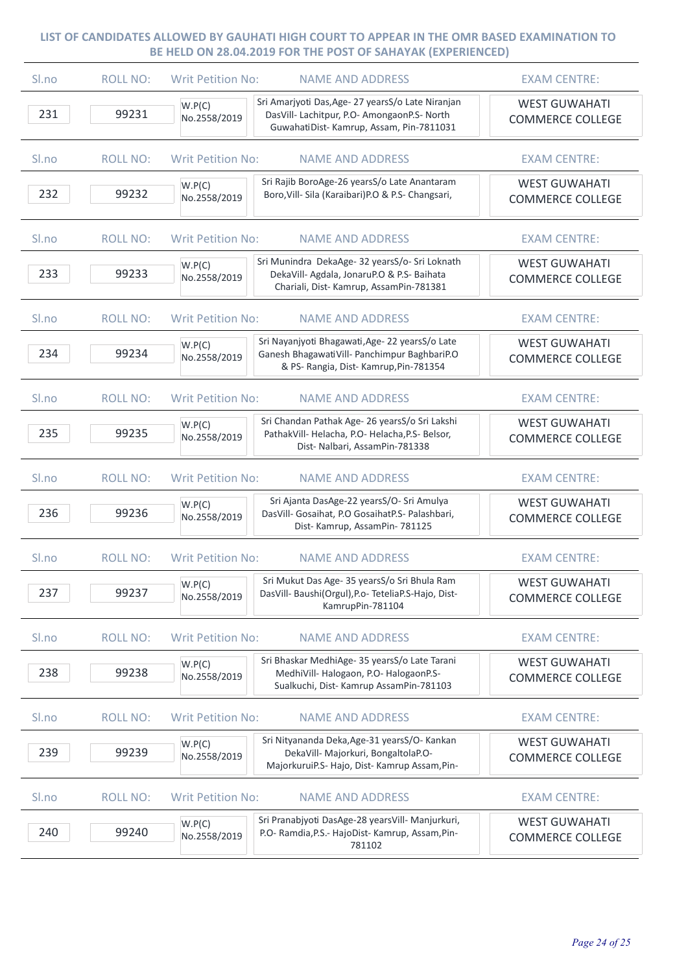| Sl.no | <b>ROLL NO:</b> | <b>Writ Petition No:</b><br><b>NAME AND ADDRESS</b>                                                                                                                    | <b>EXAM CENTRE:</b>                             |
|-------|-----------------|------------------------------------------------------------------------------------------------------------------------------------------------------------------------|-------------------------------------------------|
| 231   | 99231           | Sri Amarjyoti Das, Age- 27 years S/o Late Niranjan<br>W.P(C)<br>DasVill- Lachitpur, P.O- AmongaonP.S- North<br>No.2558/2019<br>GuwahatiDist-Kamrup, Assam, Pin-7811031 | <b>WEST GUWAHATI</b><br><b>COMMERCE COLLEGE</b> |
| Sl.no | <b>ROLL NO:</b> | <b>Writ Petition No:</b><br><b>NAME AND ADDRESS</b>                                                                                                                    | <b>EXAM CENTRE:</b>                             |
| 232   | 99232           | Sri Rajib BoroAge-26 yearsS/o Late Anantaram<br>W.P(C)<br>Boro, Vill- Sila (Karaibari) P.O & P.S- Changsari,<br>No.2558/2019                                           | <b>WEST GUWAHATI</b><br><b>COMMERCE COLLEGE</b> |
| Sl.no | <b>ROLL NO:</b> | <b>Writ Petition No:</b><br><b>NAME AND ADDRESS</b>                                                                                                                    | <b>EXAM CENTRE:</b>                             |
| 233   | 99233           | Sri Munindra DekaAge- 32 yearsS/o- Sri Loknath<br>W.P(C)<br>DekaVill- Agdala, JonaruP.O & P.S- Baihata<br>No.2558/2019<br>Chariali, Dist-Kamrup, AssamPin-781381       | <b>WEST GUWAHATI</b><br><b>COMMERCE COLLEGE</b> |
| Sl.no | <b>ROLL NO:</b> | <b>NAME AND ADDRESS</b><br><b>Writ Petition No:</b>                                                                                                                    | <b>EXAM CENTRE:</b>                             |
| 234   | 99234           | Sri Nayanjyoti Bhagawati, Age- 22 yearsS/o Late<br>W.P(C)<br>Ganesh BhagawatiVill- Panchimpur BaghbariP.O<br>No.2558/2019<br>& PS- Rangia, Dist- Kamrup, Pin-781354    | <b>WEST GUWAHATI</b><br><b>COMMERCE COLLEGE</b> |
| Sl.no | <b>ROLL NO:</b> | <b>Writ Petition No:</b><br><b>NAME AND ADDRESS</b>                                                                                                                    | <b>EXAM CENTRE:</b>                             |
| 235   | 99235           | Sri Chandan Pathak Age- 26 yearsS/o Sri Lakshi<br>W.P(C)<br>PathakVill-Helacha, P.O-Helacha, P.S-Belsor,<br>No.2558/2019<br>Dist- Nalbari, AssamPin-781338             | <b>WEST GUWAHATI</b><br><b>COMMERCE COLLEGE</b> |
| Sl.no | <b>ROLL NO:</b> | <b>Writ Petition No:</b><br><b>NAME AND ADDRESS</b>                                                                                                                    | <b>EXAM CENTRE:</b>                             |
| 236   | 99236           | Sri Ajanta DasAge-22 yearsS/O- Sri Amulya<br>W.P(C)<br>DasVill- Gosaihat, P.O GosaihatP.S- Palashbari,<br>No.2558/2019<br>Dist- Kamrup, AssamPin- 781125               | <b>WEST GUWAHATI</b><br><b>COMMERCE COLLEGE</b> |
| Sl.no | <b>ROLL NO:</b> | <b>Writ Petition No:</b><br><b>NAME AND ADDRESS</b>                                                                                                                    | <b>EXAM CENTRE:</b>                             |
| 237   | 99237           | Sri Mukut Das Age- 35 yearsS/o Sri Bhula Ram<br>W.P(C)<br>DasVill- Baushi(Orgul), P.o- TeteliaP.S-Hajo, Dist-<br>No.2558/2019<br>KamrupPin-781104                      | <b>WEST GUWAHATI</b><br><b>COMMERCE COLLEGE</b> |
| Sl.no | <b>ROLL NO:</b> | <b>Writ Petition No:</b><br><b>NAME AND ADDRESS</b>                                                                                                                    | <b>EXAM CENTRE:</b>                             |
| 238   | 99238           | Sri Bhaskar MedhiAge- 35 yearsS/o Late Tarani<br>W.P(C)<br>MedhiVill-Halogaon, P.O-HalogaonP.S-<br>No.2558/2019<br>Sualkuchi, Dist- Kamrup AssamPin-781103             | <b>WEST GUWAHATI</b><br><b>COMMERCE COLLEGE</b> |
| Sl.no | <b>ROLL NO:</b> | <b>Writ Petition No:</b><br><b>NAME AND ADDRESS</b>                                                                                                                    | <b>EXAM CENTRE:</b>                             |
| 239   | 99239           | Sri Nityananda Deka, Age-31 yearsS/O- Kankan<br>W.P(C)<br>DekaVill- Majorkuri, BongaltolaP.O-<br>No.2558/2019<br>MajorkuruiP.S- Hajo, Dist- Kamrup Assam, Pin-         | <b>WEST GUWAHATI</b><br><b>COMMERCE COLLEGE</b> |
| Sl.no | <b>ROLL NO:</b> | <b>Writ Petition No:</b><br><b>NAME AND ADDRESS</b>                                                                                                                    | <b>EXAM CENTRE:</b>                             |
| 240   | 99240           | Sri Pranabjyoti DasAge-28 yearsVill- Manjurkuri,<br>W.P(C)<br>P.O- Ramdia, P.S.- HajoDist- Kamrup, Assam, Pin-<br>No.2558/2019<br>781102                               | <b>WEST GUWAHATI</b><br><b>COMMERCE COLLEGE</b> |